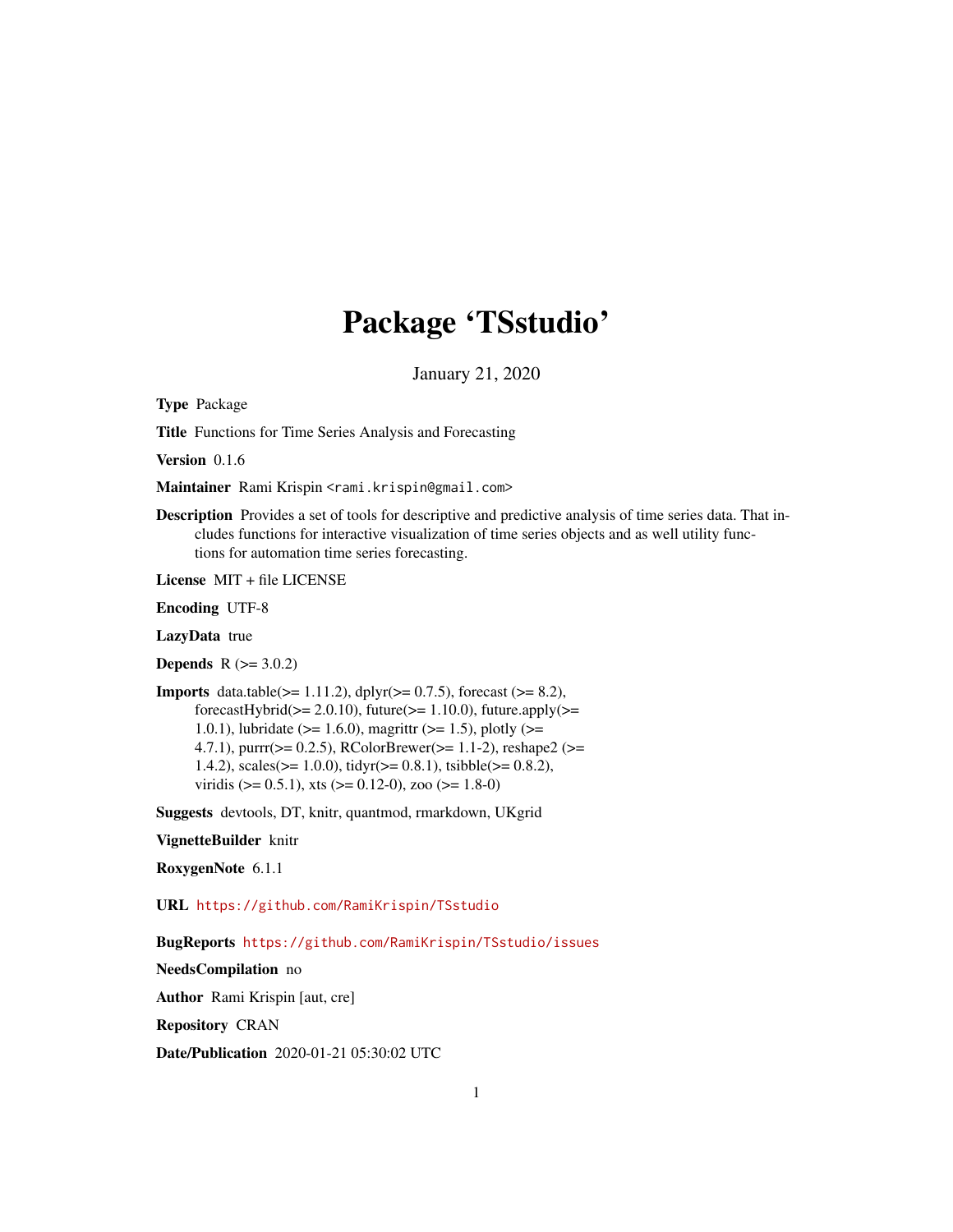# Package 'TSstudio'

January 21, 2020

<span id="page-0-0"></span>Type Package

Title Functions for Time Series Analysis and Forecasting

Version 0.1.6

Maintainer Rami Krispin <rami.krispin@gmail.com>

Description Provides a set of tools for descriptive and predictive analysis of time series data. That includes functions for interactive visualization of time series objects and as well utility functions for automation time series forecasting.

License MIT + file LICENSE

Encoding UTF-8

LazyData true

**Depends**  $R$  ( $> = 3.0.2$ )

**Imports** data.table( $>= 1.11.2$ ), dplyr( $>= 0.7.5$ ), forecast ( $>= 8.2$ ), forecastHybrid( $>= 2.0.10$ ), future( $>= 1.10.0$ ), future.apply( $>=$ 1.0.1), lubridate ( $>= 1.6.0$ ), magrittr ( $>= 1.5$ ), plotly ( $>= 1.6$ ) 4.7.1), purrr( $>= 0.2.5$ ), RColorBrewer( $>= 1.1-2$ ), reshape2 ( $>=$ 1.4.2), scales( $>= 1.0.0$ ), tidyr( $>= 0.8.1$ ), tsibble( $>= 0.8.2$ ), viridis ( $> = 0.5.1$ ), xts ( $> = 0.12-0$ ), zoo ( $> = 1.8-0$ )

Suggests devtools, DT, knitr, quantmod, rmarkdown, UKgrid

VignetteBuilder knitr

RoxygenNote 6.1.1

URL <https://github.com/RamiKrispin/TSstudio>

BugReports <https://github.com/RamiKrispin/TSstudio/issues>

NeedsCompilation no

Author Rami Krispin [aut, cre]

Repository CRAN

Date/Publication 2020-01-21 05:30:02 UTC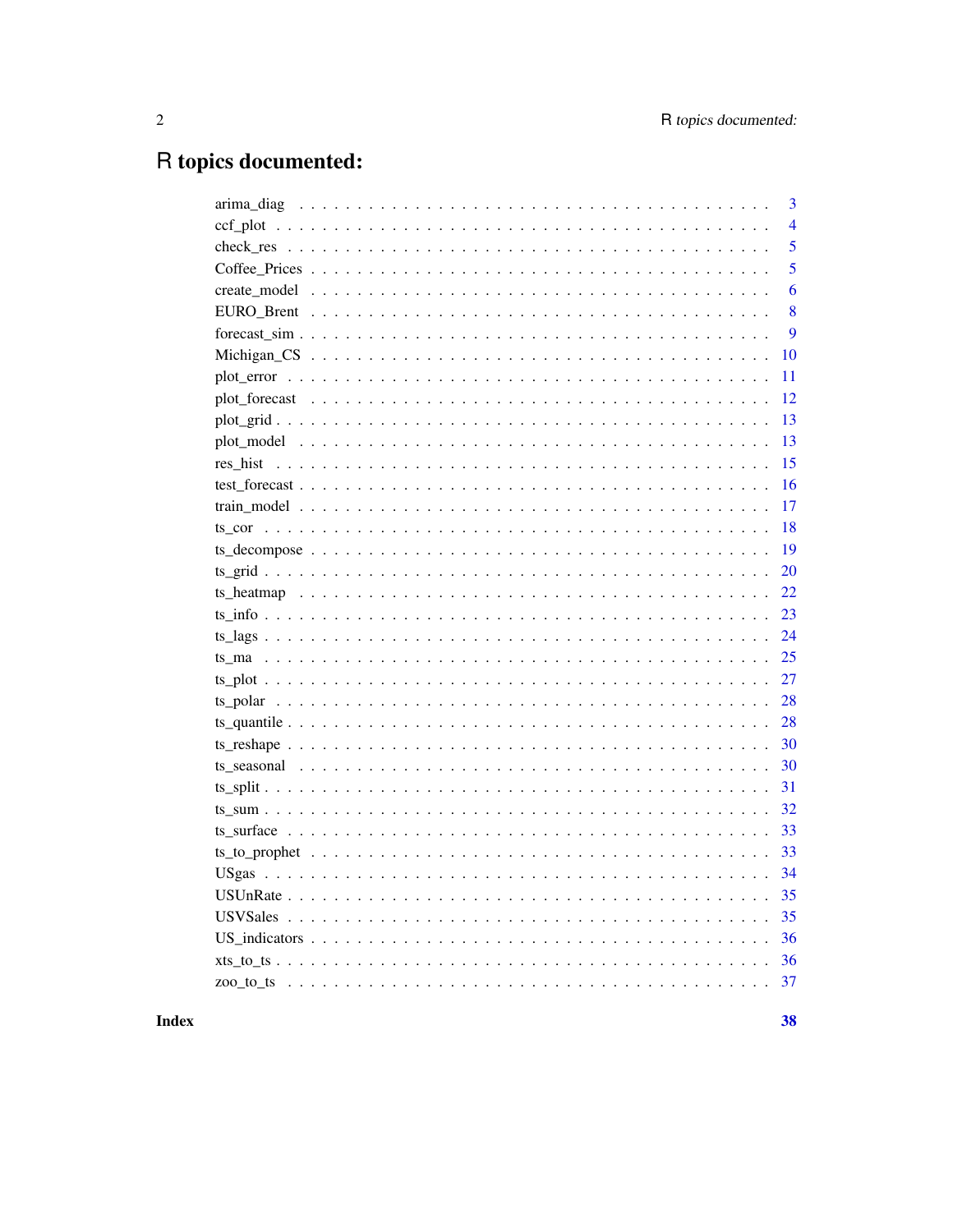# R topics documented:

|          | 3              |
|----------|----------------|
|          | $\overline{4}$ |
|          | 5              |
|          | 5              |
|          | 6              |
|          | 8              |
|          | 9              |
|          | 10             |
|          | 11             |
|          | 12             |
|          | 13             |
|          | 13             |
| res hist | 15             |
|          | 16             |
|          | 17             |
|          | 18             |
|          | 19             |
|          | 20             |
|          | 22             |
|          | 23             |
|          | 24             |
|          | 25             |
|          | 27             |
|          | 28             |
|          | 28             |
|          | 30             |
|          | 30             |
|          | 31             |
|          | 32             |
|          | 33             |
|          | 33             |
|          | 34             |
|          | 35             |
|          | 35             |
|          | 36             |
|          | 36             |
|          | 37             |
|          |                |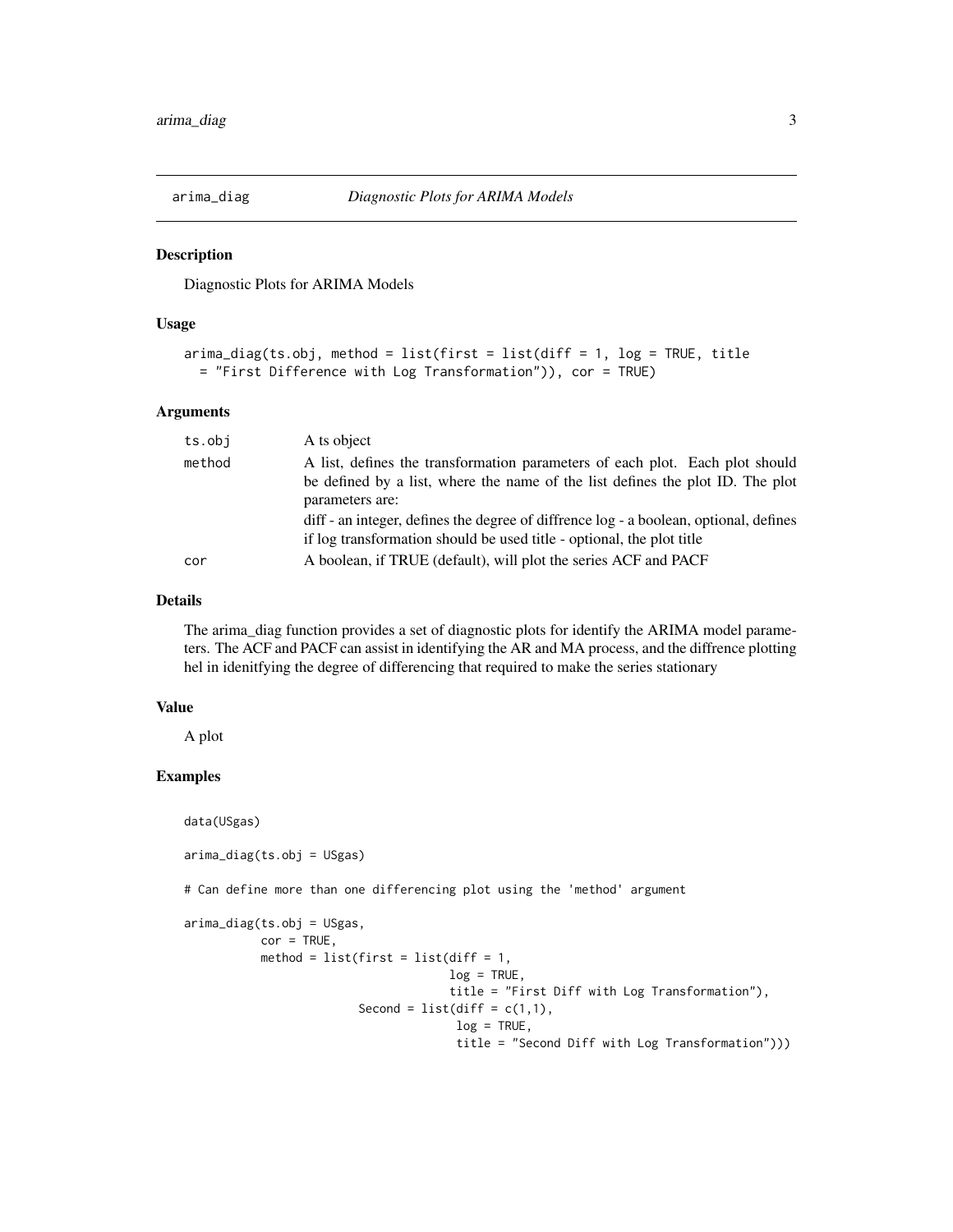<span id="page-2-0"></span>

Diagnostic Plots for ARIMA Models

#### Usage

```
\text{arima\_diag(ts.obj}, \text{method} = \text{list}(\text{first} = \text{list}(\text{diff} = 1, \text{log} = \text{TRUE}, \text{title})= "First Difference with Log Transformation")), cor = TRUE)
```
# Arguments

| ts.obj | A ts object                                                                                                                                                                                                                                                                |
|--------|----------------------------------------------------------------------------------------------------------------------------------------------------------------------------------------------------------------------------------------------------------------------------|
| method | A list, defines the transformation parameters of each plot. Each plot should<br>be defined by a list, where the name of the list defines the plot ID. The plot<br>parameters are:<br>diff - an integer, defines the degree of diffrence log - a boolean, optional, defines |
|        | if log transformation should be used title - optional, the plot title                                                                                                                                                                                                      |
| cor    | A boolean, if TRUE (default), will plot the series ACF and PACF                                                                                                                                                                                                            |
|        |                                                                                                                                                                                                                                                                            |

# Details

The arima\_diag function provides a set of diagnostic plots for identify the ARIMA model parameters. The ACF and PACF can assist in identifying the AR and MA process, and the diffrence plotting hel in idenitfying the degree of differencing that required to make the series stationary

#### Value

A plot

#### Examples

data(USgas)

```
arima_diag(ts.obj = USgas)
```
# Can define more than one differencing plot using the 'method' argument

```
arima_diag(ts.obj = USgas,
          cor = TRUE,method = list(first = list(diff = 1,
                                     log = TRUE,title = "First Diff with Log Transformation"),
                         Second = list(diff = c(1,1)),log = TRUE,title = "Second Diff with Log Transformation")))
```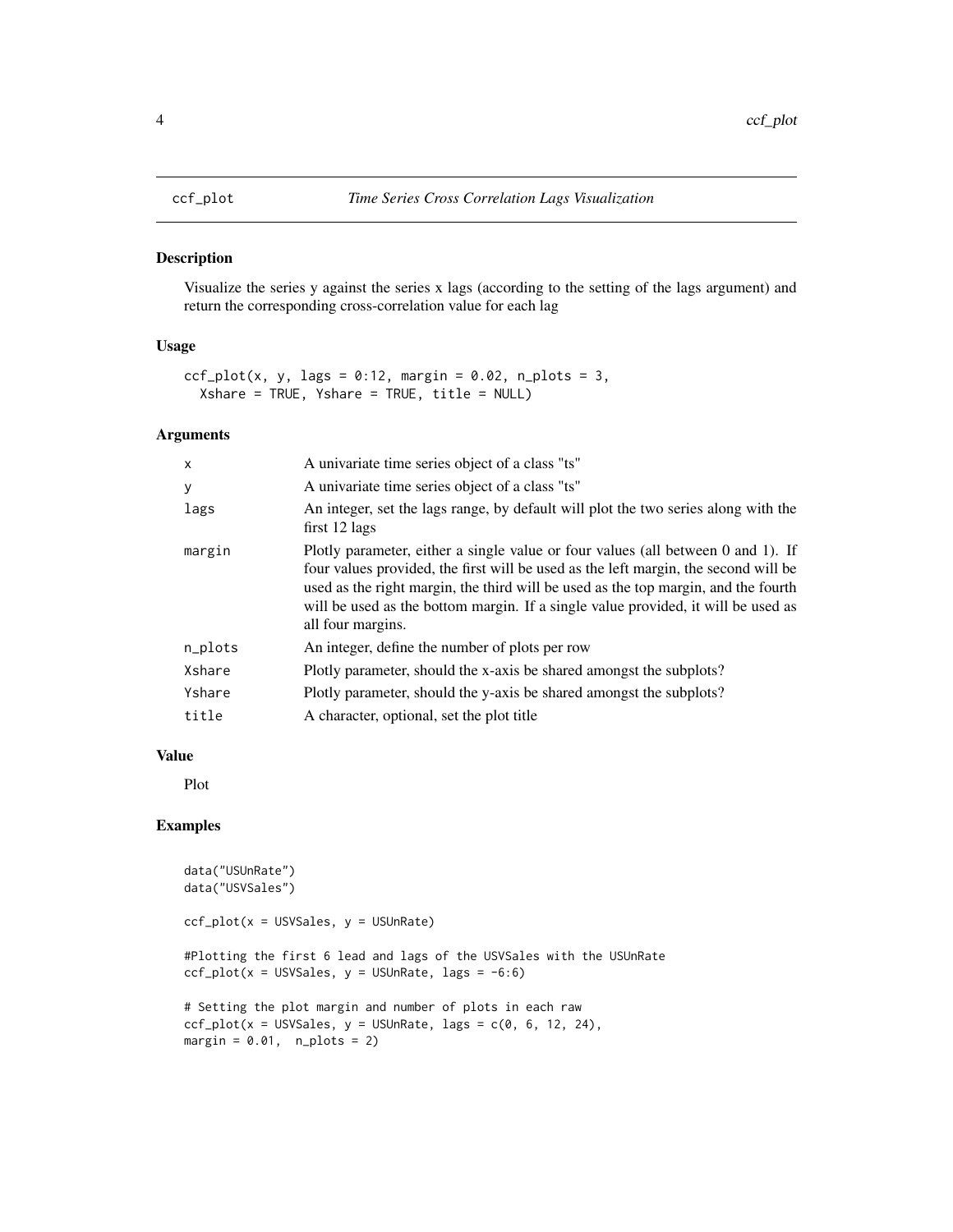<span id="page-3-0"></span>Visualize the series y against the series x lags (according to the setting of the lags argument) and return the corresponding cross-correlation value for each lag

# Usage

```
ccf_{\text{plot}}(x, y, \text{lags} = 0.12, \text{margin} = 0.02, \text{ n_{\text{plots}}} = 3,Xshare = TRUE, Yshare = TRUE, title = NULL)
```
#### Arguments

| $\times$ | A univariate time series object of a class "ts"                                                                                                                                                                                                                                                                                                                         |
|----------|-------------------------------------------------------------------------------------------------------------------------------------------------------------------------------------------------------------------------------------------------------------------------------------------------------------------------------------------------------------------------|
| У        | A univariate time series object of a class "ts"                                                                                                                                                                                                                                                                                                                         |
| lags     | An integer, set the lags range, by default will plot the two series along with the<br>$first 12 lags$                                                                                                                                                                                                                                                                   |
| margin   | Plotly parameter, either a single value or four values (all between 0 and 1). If<br>four values provided, the first will be used as the left margin, the second will be<br>used as the right margin, the third will be used as the top margin, and the fourth<br>will be used as the bottom margin. If a single value provided, it will be used as<br>all four margins. |
| n_plots  | An integer, define the number of plots per row                                                                                                                                                                                                                                                                                                                          |
| Xshare   | Plotly parameter, should the x-axis be shared amongst the subplots?                                                                                                                                                                                                                                                                                                     |
| Yshare   | Plotly parameter, should the y-axis be shared amongst the subplots?                                                                                                                                                                                                                                                                                                     |
| title    | A character, optional, set the plot title                                                                                                                                                                                                                                                                                                                               |

#### Value

Plot

```
data("USUnRate")
data("USVSales")
ccf_plot(x = USVSales, y = USUnRate)
#Plotting the first 6 lead and lags of the USVSales with the USUnRate
ccf_plot(x = USV Sales, y = USUnRate, lags = -6:6)# Setting the plot margin and number of plots in each raw
ccf_{plot}(x = USV Sales, y = USUnRate, lags = c(0, 6, 12, 24),margin = 0.01, n_plots = 2)
```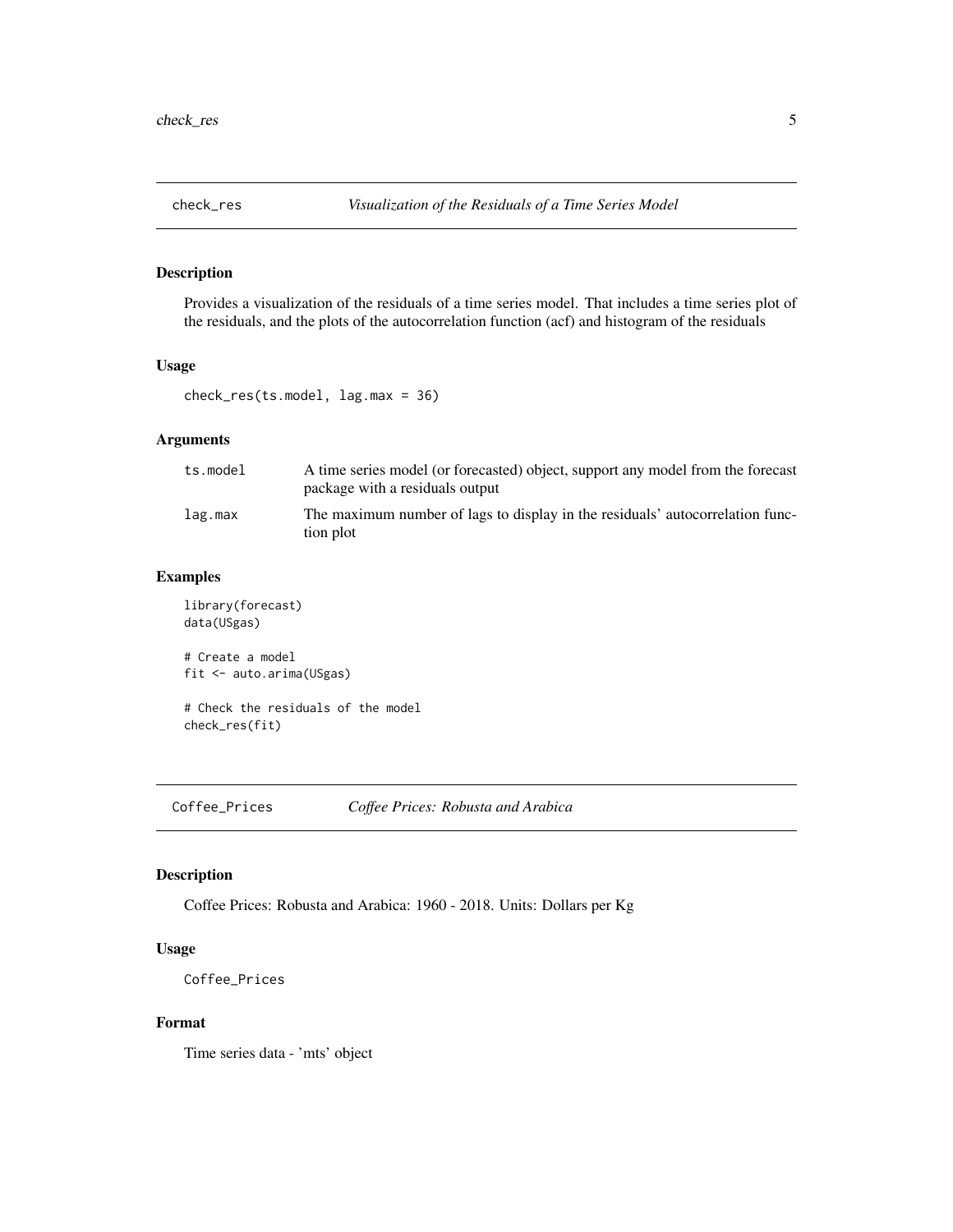<span id="page-4-0"></span>Provides a visualization of the residuals of a time series model. That includes a time series plot of the residuals, and the plots of the autocorrelation function (acf) and histogram of the residuals

#### Usage

```
check_res(ts.model, lag.max = 36)
```
# Arguments

| ts.model | A time series model (or forecasted) object, support any model from the forecast<br>package with a residuals output |
|----------|--------------------------------------------------------------------------------------------------------------------|
| lag.max  | The maximum number of lags to display in the residuals' autocorrelation func-<br>tion plot                         |

# Examples

library(forecast) data(USgas)

# Create a model fit <- auto.arima(USgas)

# Check the residuals of the model check\_res(fit)

Coffee\_Prices *Coffee Prices: Robusta and Arabica*

#### Description

Coffee Prices: Robusta and Arabica: 1960 - 2018. Units: Dollars per Kg

# Usage

```
Coffee_Prices
```
#### Format

Time series data - 'mts' object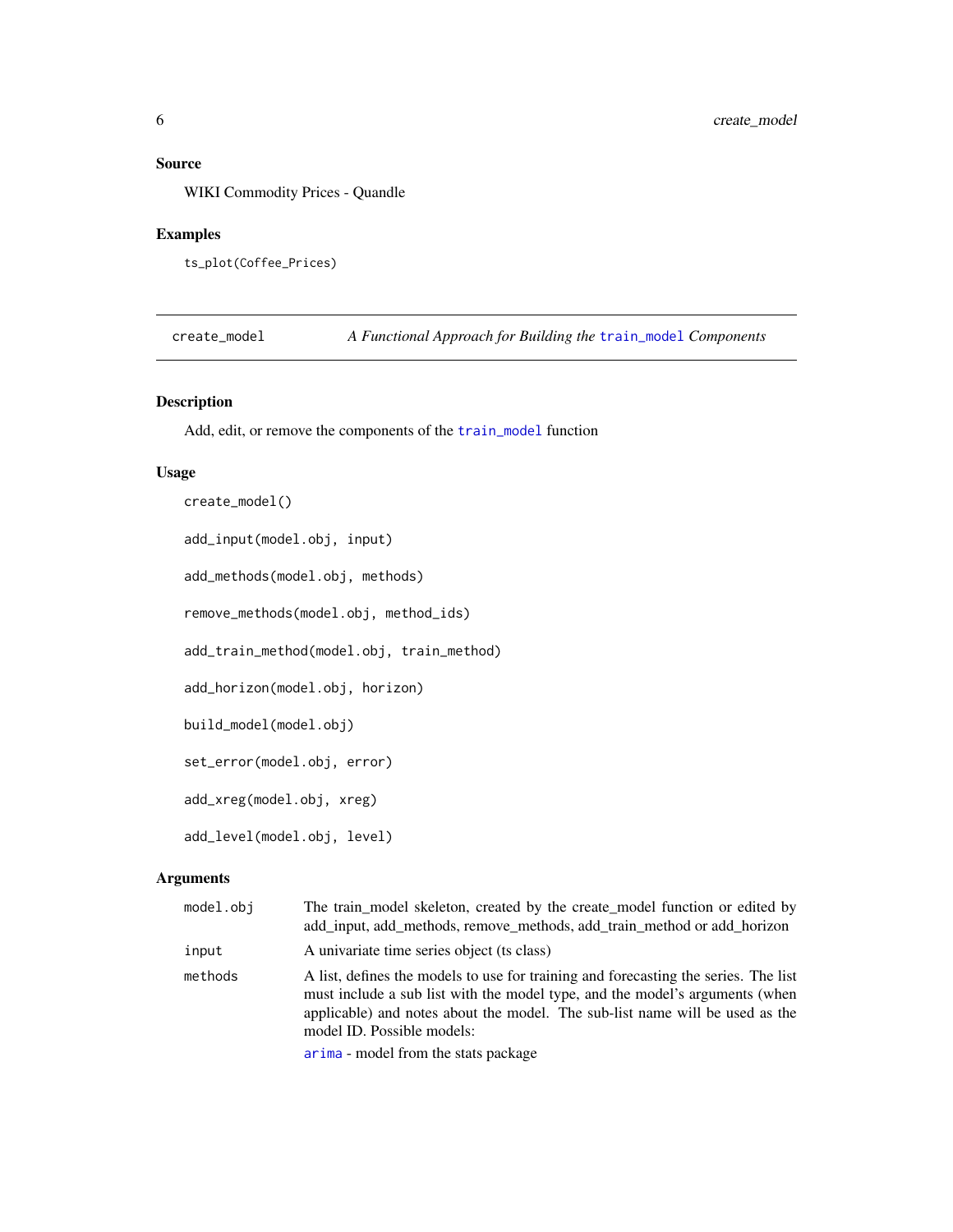# <span id="page-5-0"></span>Source

WIKI Commodity Prices - Quandle

#### Examples

```
ts_plot(Coffee_Prices)
```
create\_model *A Functional Approach for Building the* [train\\_model](#page-16-1) *Components*

# Description

Add, edit, or remove the components of the [train\\_model](#page-16-1) function

#### Usage

```
create_model()
```
add\_input(model.obj, input)

add\_methods(model.obj, methods)

remove\_methods(model.obj, method\_ids)

add\_train\_method(model.obj, train\_method)

add\_horizon(model.obj, horizon)

build\_model(model.obj)

set\_error(model.obj, error)

add\_xreg(model.obj, xreg)

add\_level(model.obj, level)

#### Arguments

| model.obj | The train model skeleton, created by the create model function or edited by<br>add_input, add_methods, remove_methods, add_train_method or add_horizon                                                                                                                            |
|-----------|-----------------------------------------------------------------------------------------------------------------------------------------------------------------------------------------------------------------------------------------------------------------------------------|
| input     | A univariate time series object (ts class)                                                                                                                                                                                                                                        |
| methods   | A list, defines the models to use for training and forecasting the series. The list<br>must include a sub list with the model type, and the model's arguments (when<br>applicable) and notes about the model. The sub-list name will be used as the<br>model ID. Possible models: |
|           | arima - model from the stats package                                                                                                                                                                                                                                              |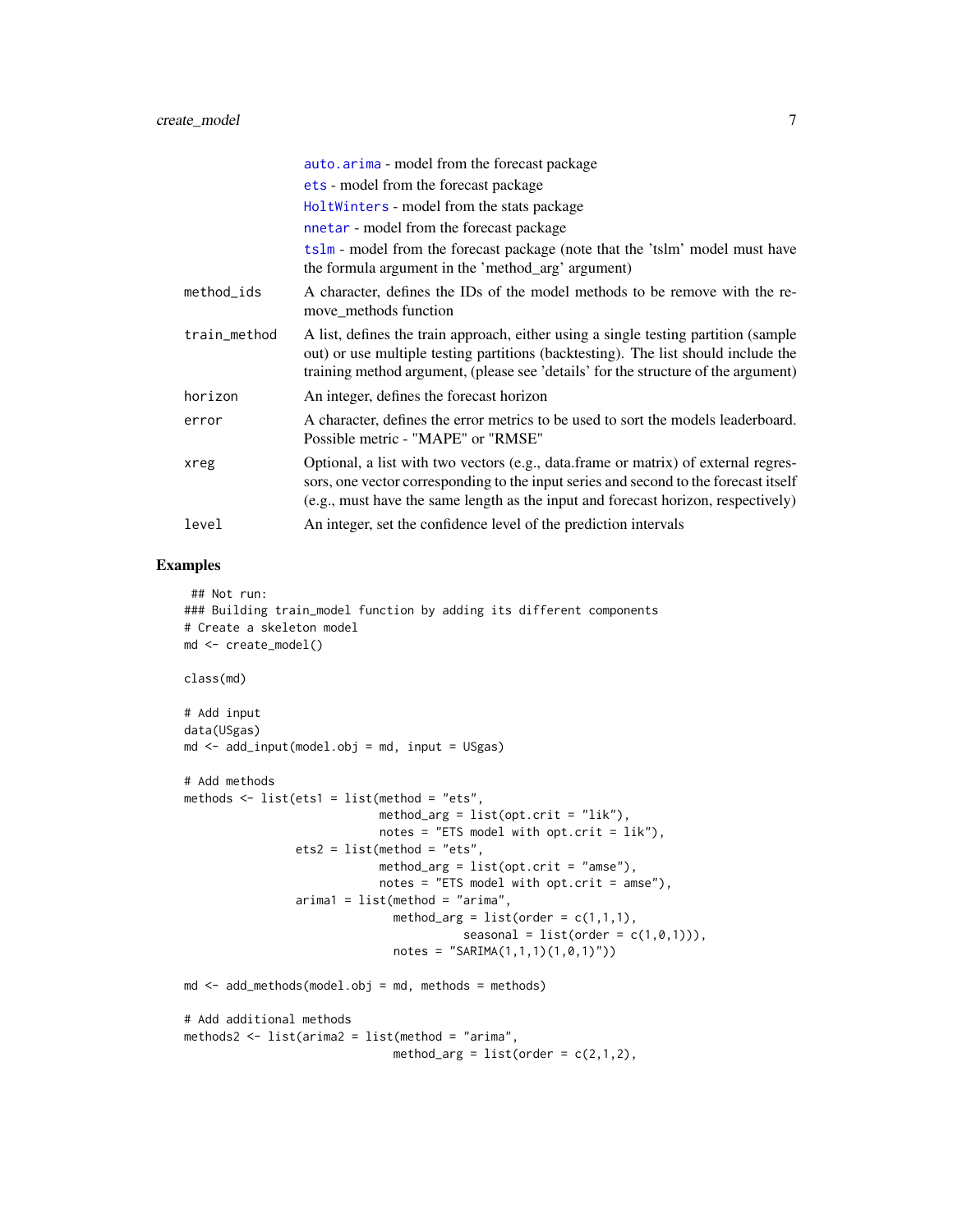<span id="page-6-0"></span>

|              | auto.arima - model from the forecast package                                                                                                                                                                                                                    |
|--------------|-----------------------------------------------------------------------------------------------------------------------------------------------------------------------------------------------------------------------------------------------------------------|
|              | ets - model from the forecast package                                                                                                                                                                                                                           |
|              | HoltWinters - model from the stats package                                                                                                                                                                                                                      |
|              | nnetar - model from the forecast package                                                                                                                                                                                                                        |
|              | tslm - model from the forecast package (note that the 'tslm' model must have<br>the formula argument in the 'method_arg' argument)                                                                                                                              |
| method_ids   | A character, defines the IDs of the model methods to be remove with the re-<br>move_methods function                                                                                                                                                            |
| train_method | A list, defines the train approach, either using a single testing partition (sample<br>out) or use multiple testing partitions (backtesting). The list should include the<br>training method argument, (please see 'details' for the structure of the argument) |
| horizon      | An integer, defines the forecast horizon                                                                                                                                                                                                                        |
| error        | A character, defines the error metrics to be used to sort the models leaderboard.<br>Possible metric - "MAPE" or "RMSE"                                                                                                                                         |
| xreg         | Optional, a list with two vectors (e.g., data.frame or matrix) of external regres-<br>sors, one vector corresponding to the input series and second to the forecast itself<br>(e.g., must have the same length as the input and forecast horizon, respectively) |
| level        | An integer, set the confidence level of the prediction intervals                                                                                                                                                                                                |

```
## Not run:
### Building train_model function by adding its different components
# Create a skeleton model
md <- create_model()
class(md)
# Add input
data(USgas)
md \le - add\_input(model.obj = md, input = USgas)# Add methods
methods \le list(ets1 = list(method = "ets",
                            method_arg = list(opt.crit = "lik"),
                            notes = "ETS model with opt.crit = lik"),
                ets2 = list(method = "ets",method_arg = list(opt.crit = "amse"),
                            notes = "ETS model with opt.crit = amse"),arima1 = list(method = "arima",
                              method_arg = list(order = c(1,1,1)),seasonal = list(order = c(1,0,1))),
                              notes = "SARMA(1,1,1)(1,0,1)")md \leq -add\_methods(model.bj = md, methods = methods)# Add additional methods
methods2 <- list(arima2 = list(method = "arima",
                              method_arg = list(order = c(2,1,2),
```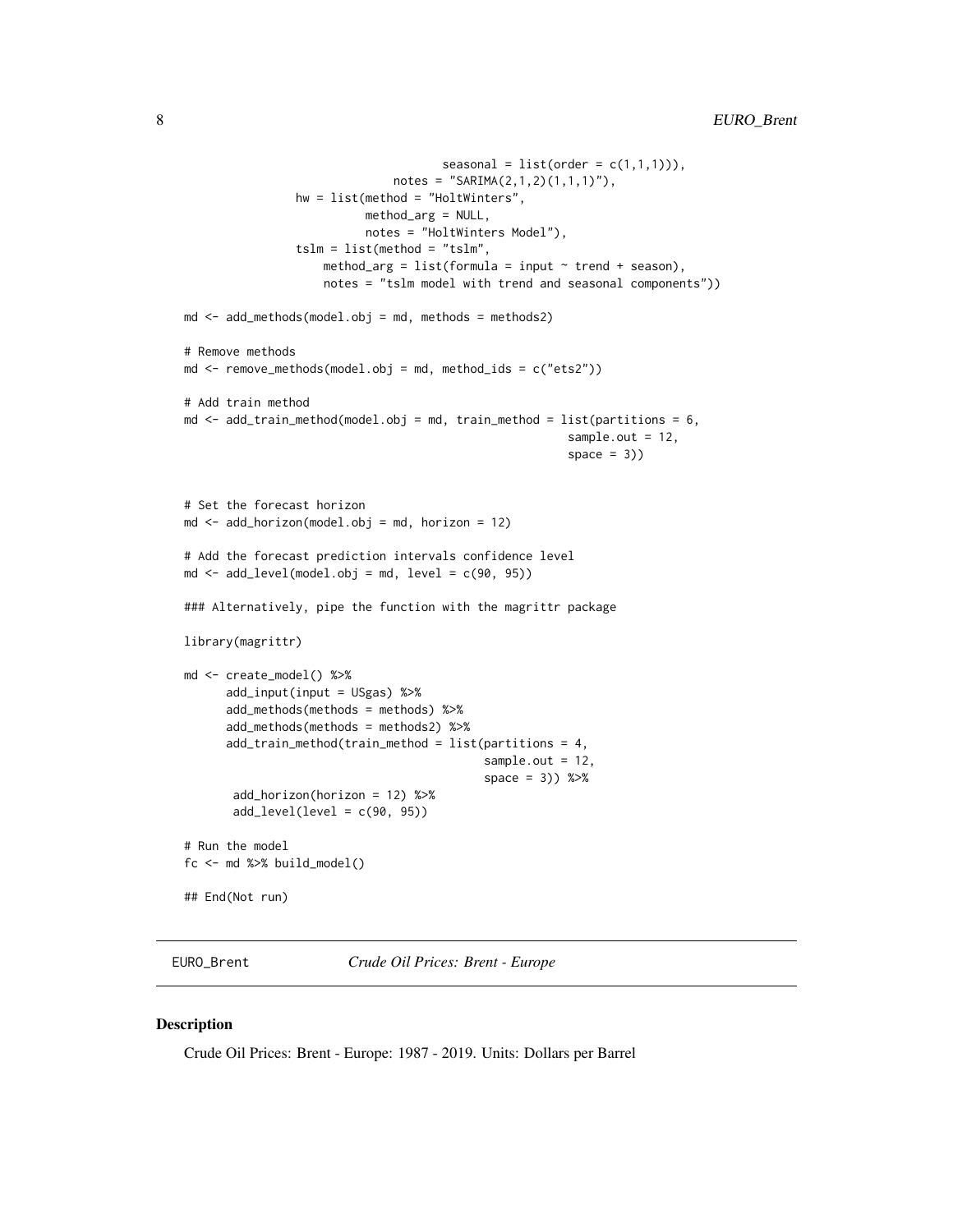```
seasonal = list(order = c(1,1,1))),
                              notes = "SARIMA(2,1,2)(1,1,1)"),
                hw = list(method = "HoltWinters",
                          method_arg = NULL,
                          notes = "HoltWinters Model"),
                tslm = list(method = "tslm",
                    method_arg = list(formula = input \sim trend + season),
                    notes = "tslm model with trend and seasonal components"))
md \leq -add\_methods(model.obj = md, methods = methods2)# Remove methods
md <- remove_methods(model.obj = md, method_ids = c("ets2"))
# Add train method
md \le add_train_method(model.obj = md, train_method = list(partitions = 6,
                                                        sample.out = 12,
                                                        space = 3)# Set the forecast horizon
md \leq add_horizon(model.obj = md, horizon = 12)
# Add the forecast prediction intervals confidence level
md \le add_level(model.obj = md, level = c(90, 95))
### Alternatively, pipe the function with the magrittr package
library(magrittr)
md <- create_model() %>%
      add_input(input = USgas) %>%
      add_methods(methods = methods) %>%
      add_methods(methods = methods2) %>%
      add\_train\_method(train\_method = list(partitions = 4,sample.out = 12,
                                           space = 3)) %>%
       add_horizon(horizon = 12) %>%
       add\_level(level = c(90, 95))# Run the model
fc <- md %>% build_model()
## End(Not run)
```
EURO\_Brent *Crude Oil Prices: Brent - Europe*

#### Description

Crude Oil Prices: Brent - Europe: 1987 - 2019. Units: Dollars per Barrel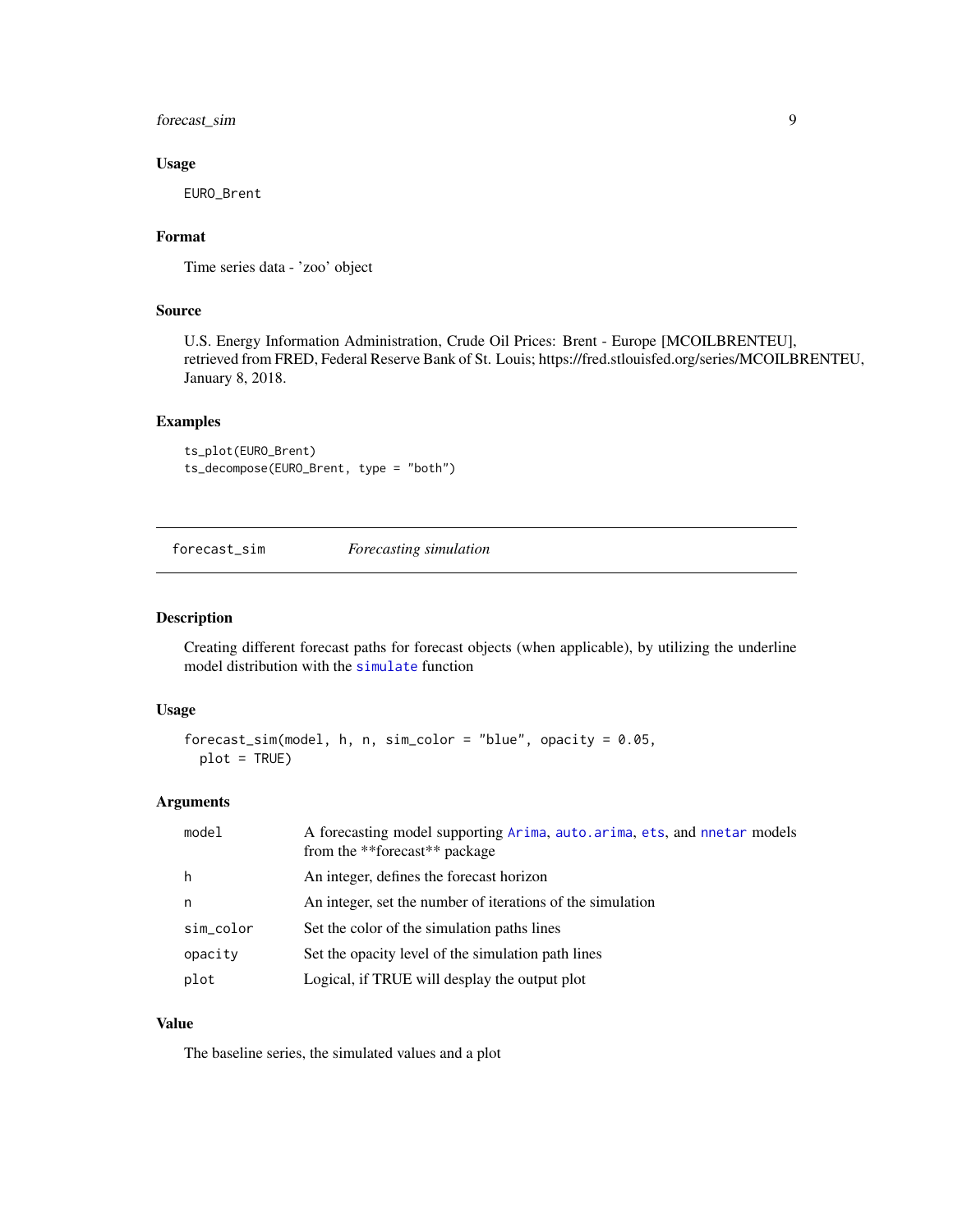<span id="page-8-0"></span>forecast\_sim 9

#### Usage

EURO\_Brent

#### Format

Time series data - 'zoo' object

#### Source

U.S. Energy Information Administration, Crude Oil Prices: Brent - Europe [MCOILBRENTEU], retrieved from FRED, Federal Reserve Bank of St. Louis; https://fred.stlouisfed.org/series/MCOILBRENTEU, January 8, 2018.

# Examples

ts\_plot(EURO\_Brent) ts\_decompose(EURO\_Brent, type = "both")

forecast\_sim *Forecasting simulation*

#### Description

Creating different forecast paths for forecast objects (when applicable), by utilizing the underline model distribution with the [simulate](#page-0-0) function

#### Usage

```
forecast_sim(model, h, n, sim_color = "blue", opacity = 0.05,
 plot = TRUE)
```
#### Arguments

| model     | A forecasting model supporting Arima, auto. arima, ets, and nnetar models<br>from the **forecast** package |
|-----------|------------------------------------------------------------------------------------------------------------|
| h         | An integer, defines the forecast horizon                                                                   |
| n         | An integer, set the number of iterations of the simulation                                                 |
| sim_color | Set the color of the simulation paths lines                                                                |
| opacity   | Set the opacity level of the simulation path lines                                                         |
| plot      | Logical, if TRUE will desplay the output plot                                                              |

#### Value

The baseline series, the simulated values and a plot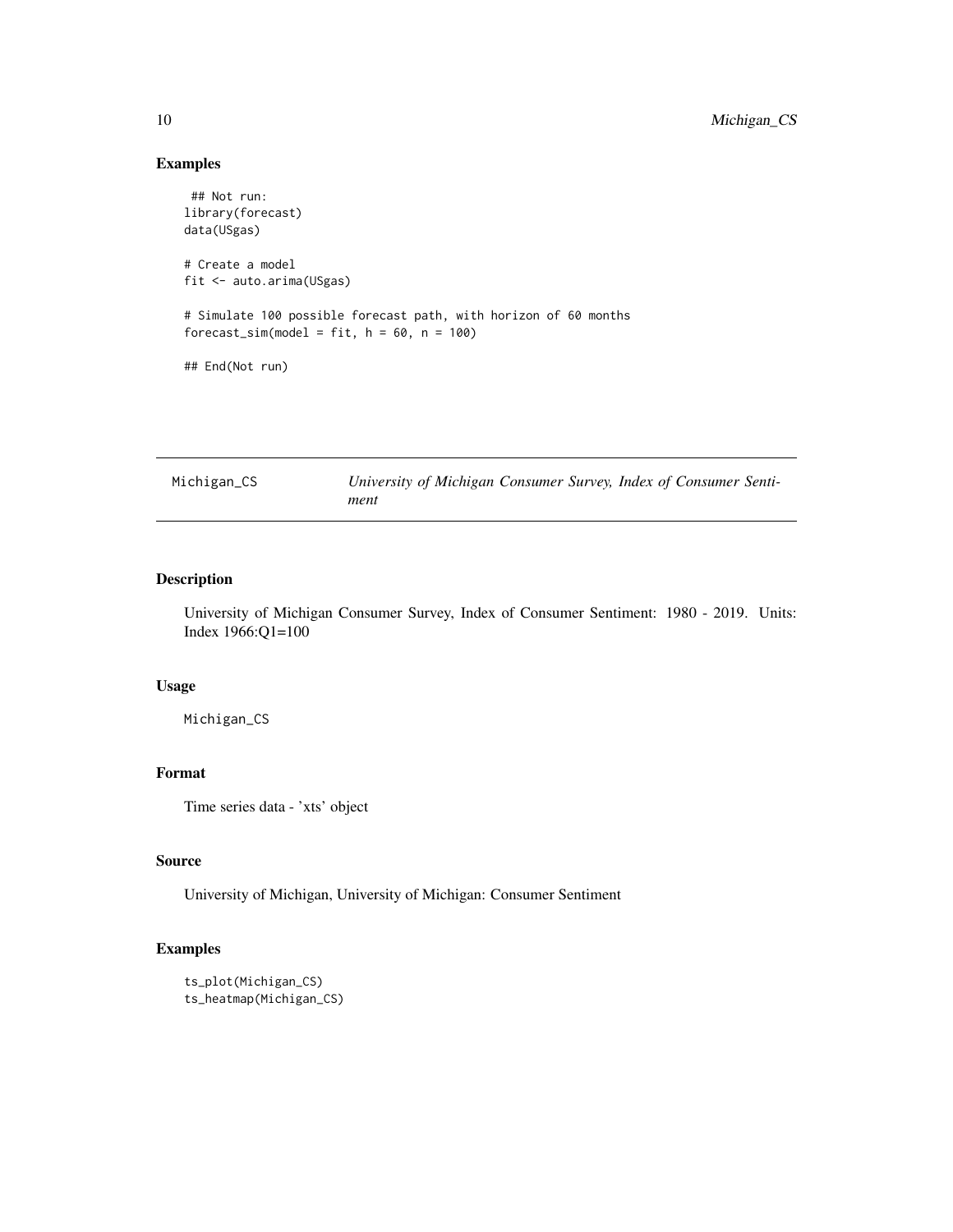# Examples

```
## Not run:
library(forecast)
data(USgas)
# Create a model
fit <- auto.arima(USgas)
# Simulate 100 possible forecast path, with horizon of 60 months
forecast\_sim(model = fit, h = 60, n = 100)## End(Not run)
```

| Michigan_CS | University of Michigan Consumer Survey, Index of Consumer Senti- |  |  |
|-------------|------------------------------------------------------------------|--|--|
|             | ment                                                             |  |  |

# Description

University of Michigan Consumer Survey, Index of Consumer Sentiment: 1980 - 2019. Units: Index 1966:Q1=100

# Usage

Michigan\_CS

# Format

Time series data - 'xts' object

# Source

University of Michigan, University of Michigan: Consumer Sentiment

```
ts_plot(Michigan_CS)
ts_heatmap(Michigan_CS)
```
<span id="page-9-0"></span>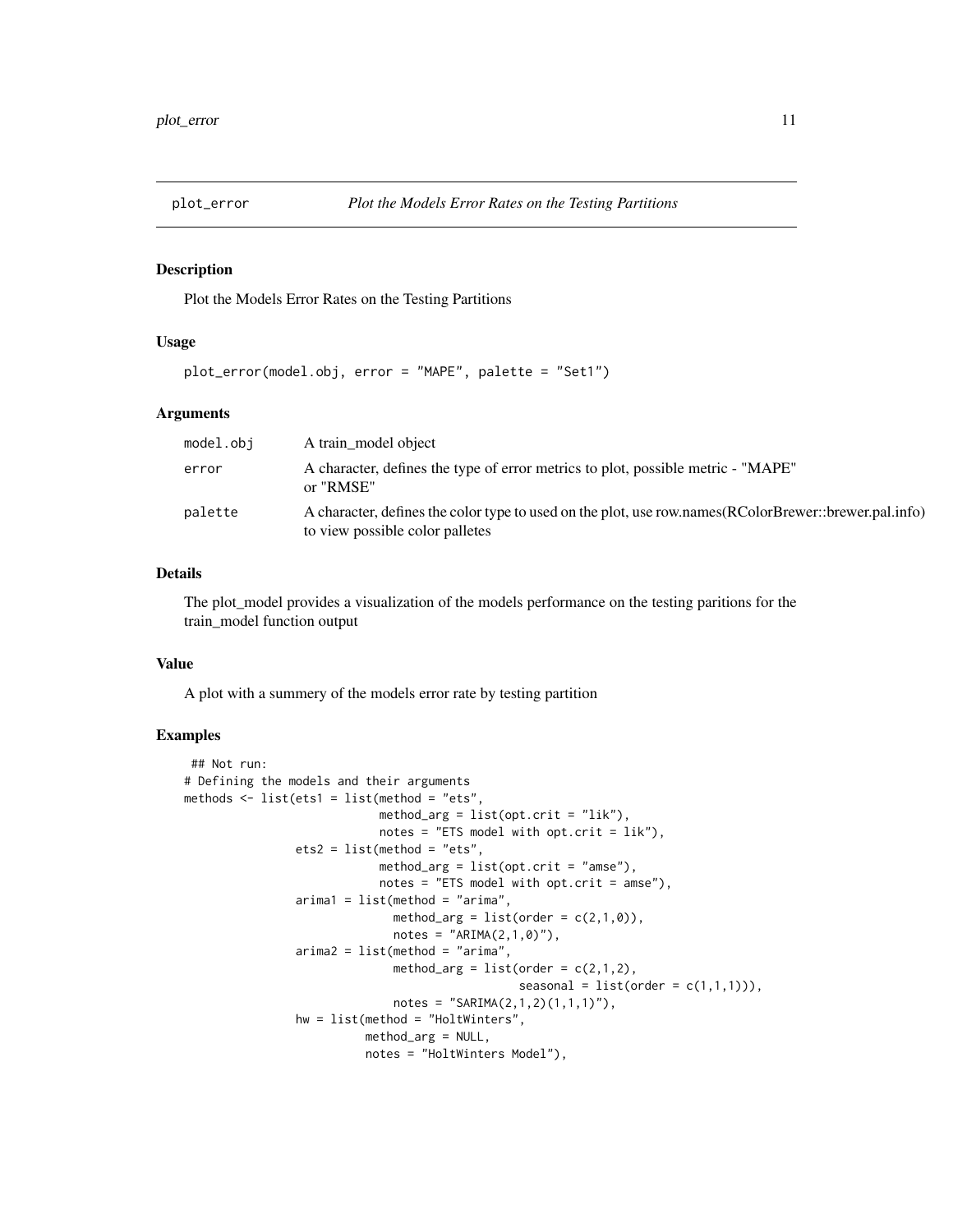<span id="page-10-0"></span>

Plot the Models Error Rates on the Testing Partitions

# Usage

```
plot_error(model.obj, error = "MAPE", palette = "Set1")
```
#### Arguments

| model.obj | A train model object                                                                                                                     |
|-----------|------------------------------------------------------------------------------------------------------------------------------------------|
| error     | A character, defines the type of error metrics to plot, possible metric - "MAPE"<br>or "RMSE"                                            |
| palette   | A character, defines the color type to used on the plot, use row.names(RColorBrewer::brewer.pal.info)<br>to view possible color palletes |

# Details

The plot\_model provides a visualization of the models performance on the testing paritions for the train\_model function output

#### Value

A plot with a summery of the models error rate by testing partition

```
## Not run:
# Defining the models and their arguments
methods \le list(ets1 = list(method = "ets",
                            method_arg = list(opt.crit = "lik"),
                            notes = "ETS model with opt.crit = lik"),
                ets2 = list(method = "ets",method_arg = list(opt.crit = "amse"),
                            notes = "ETS model with opt.crit = amse"),arima1 = list(method = "arima",
                              method_arg = list(order = c(2,1,0)),
                              notes = "ARIMA(2,1,0)",
                arima2 = list(method = "arima",method_arg = list(order = c(2,1,2),
                                                seasonal = list(order = c(1,1,1))),
                              notes = "SARMA(2,1,2)(1,1,1)"),
                hw = list(method = "HoltWinters",
                          method_arg = NULL,
                          notes = "HoltWinters Model"),
```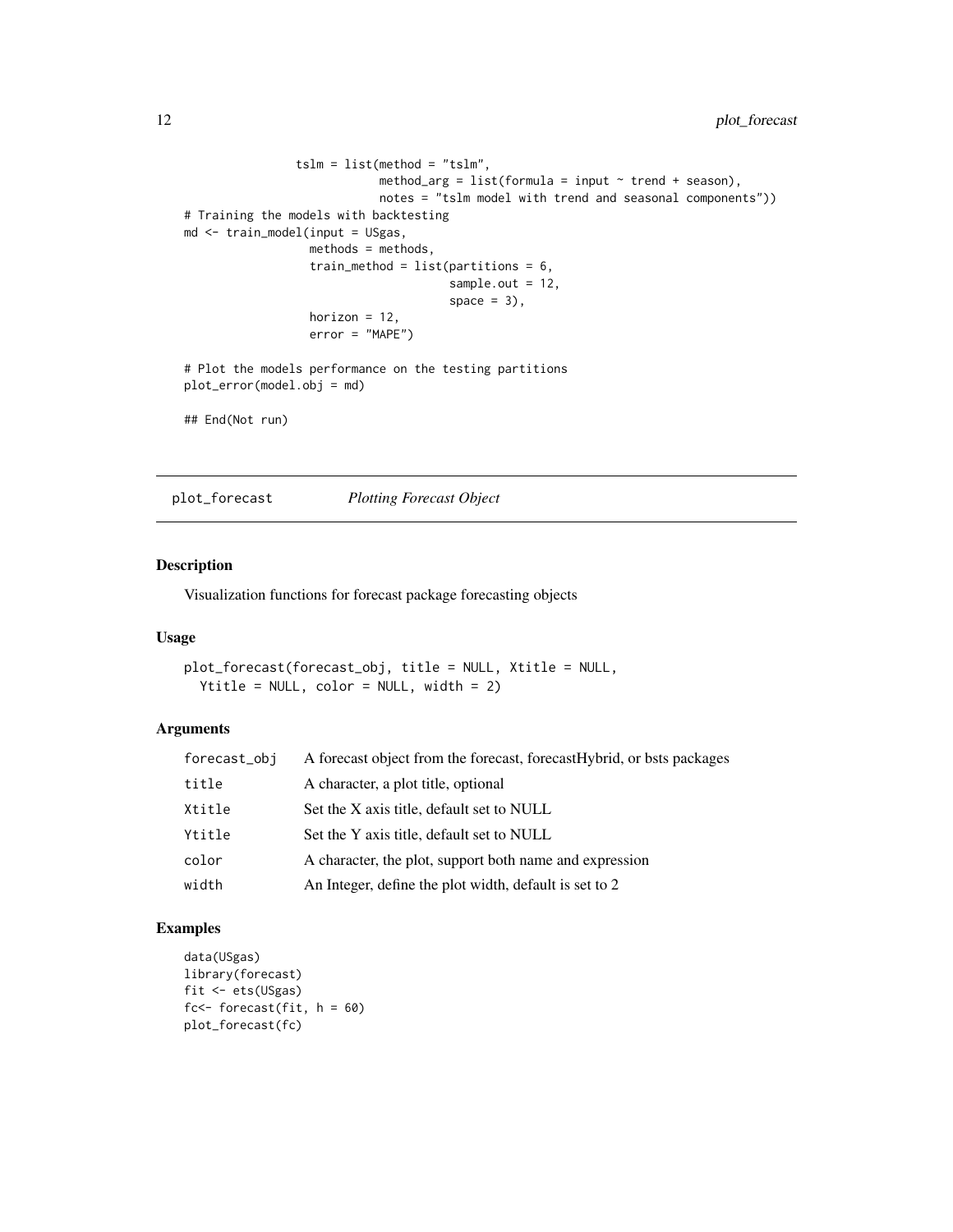```
tslm = list(method = "tslm",method_arg = list(fromula = input ~ true + season),
                            notes = "tslm model with trend and seasonal components"))
# Training the models with backtesting
md <- train_model(input = USgas,
                 methods = methods,
                  train_method = list(partitions = 6,sample.out = 12,
                                      space = 3),
                  horizon = 12,
                  error = "MAPE")
# Plot the models performance on the testing partitions
plot_error(model.obj = md)
## End(Not run)
```
plot\_forecast *Plotting Forecast Object*

### Description

Visualization functions for forecast package forecasting objects

# Usage

```
plot_forecast(forecast_obj, title = NULL, Xtitle = NULL,
 Ytitle = NULL, color = NULL, width = 2)
```
# Arguments

| forecast_obj | A forecast object from the forecast, forecastHybrid, or bsts packages |
|--------------|-----------------------------------------------------------------------|
| title        | A character, a plot title, optional                                   |
| Xtitle       | Set the X axis title, default set to NULL                             |
| Ytitle       | Set the Y axis title, default set to NULL                             |
| color        | A character, the plot, support both name and expression               |
| width        | An Integer, define the plot width, default is set to 2                |

```
data(USgas)
library(forecast)
fit <- ets(USgas)
fc<- forecast(fit, h = 60)
plot_forecast(fc)
```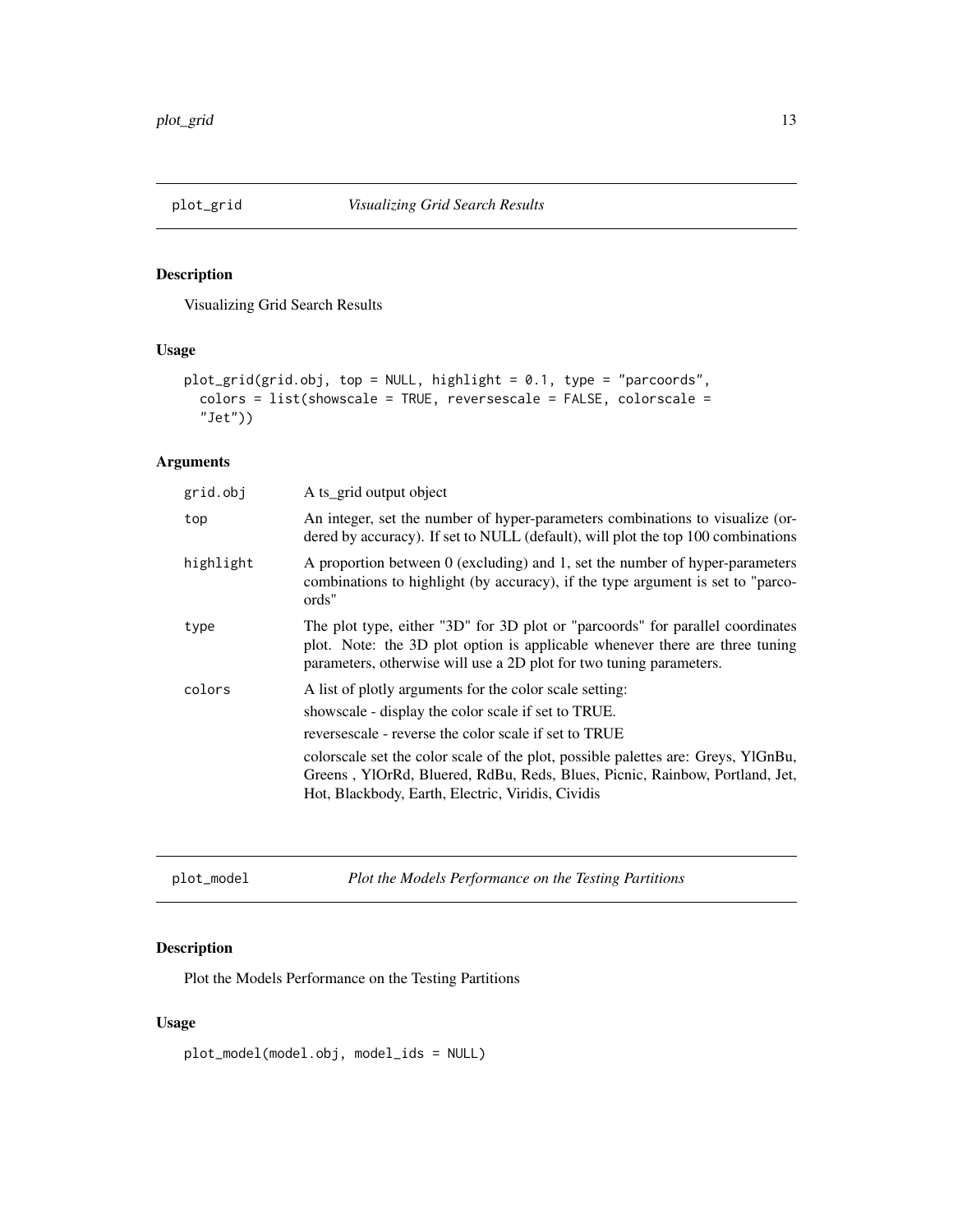<span id="page-12-0"></span>

Visualizing Grid Search Results

# Usage

```
plot_grid(grid.obj, top = NULL, highlight = 0.1, type = "parcoords",
 colors = list(showscale = TRUE, reversescale = FALSE, colorscale =
  "Jet"))
```
# Arguments

| grid.obj  | A ts_grid output object                                                                                                                                                                                                                                                                                                                                                                          |
|-----------|--------------------------------------------------------------------------------------------------------------------------------------------------------------------------------------------------------------------------------------------------------------------------------------------------------------------------------------------------------------------------------------------------|
| top       | An integer, set the number of hyper-parameters combinations to visualize (or-<br>dered by accuracy). If set to NULL (default), will plot the top 100 combinations                                                                                                                                                                                                                                |
| highlight | A proportion between 0 (excluding) and 1, set the number of hyper-parameters<br>combinations to highlight (by accuracy), if the type argument is set to "parco-<br>ords"                                                                                                                                                                                                                         |
| type      | The plot type, either "3D" for 3D plot or "parcoords" for parallel coordinates<br>plot. Note: the 3D plot option is applicable whenever there are three tuning<br>parameters, otherwise will use a 2D plot for two tuning parameters.                                                                                                                                                            |
| colors    | A list of plotly arguments for the color scale setting:<br>showscale - display the color scale if set to TRUE.<br>reversescale - reverse the color scale if set to TRUE<br>colorscale set the color scale of the plot, possible palettes are: Greys, YlGnBu,<br>Greens, YlOrRd, Bluered, RdBu, Reds, Blues, Picnic, Rainbow, Portland, Jet,<br>Hot, Blackbody, Earth, Electric, Viridis, Cividis |

plot\_model *Plot the Models Performance on the Testing Partitions*

# Description

Plot the Models Performance on the Testing Partitions

# Usage

plot\_model(model.obj, model\_ids = NULL)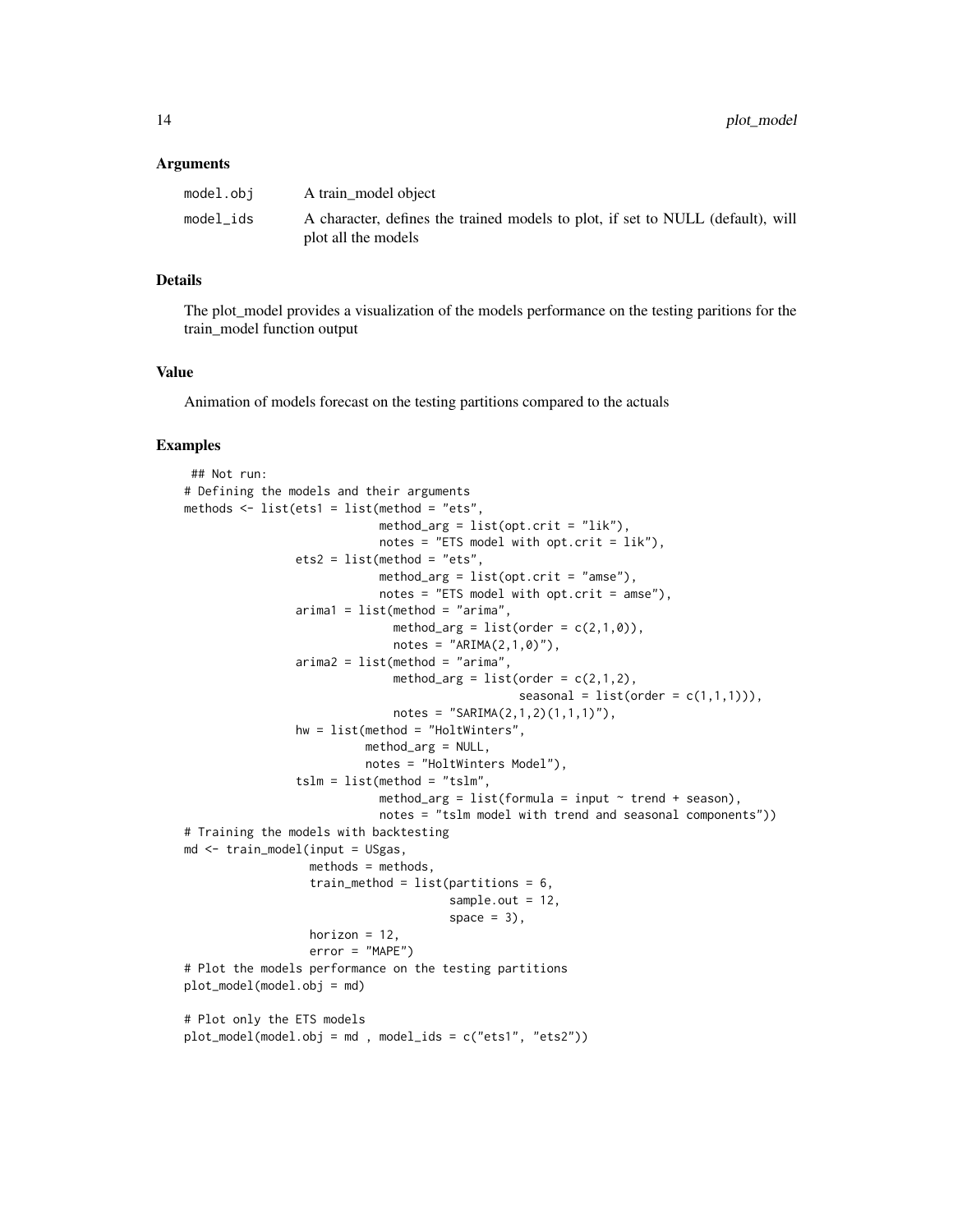#### Arguments

| model.obj | A train model object                                                                                   |
|-----------|--------------------------------------------------------------------------------------------------------|
| model ids | A character, defines the trained models to plot, if set to NULL (default), will<br>plot all the models |

# Details

The plot\_model provides a visualization of the models performance on the testing paritions for the train\_model function output

#### Value

Animation of models forecast on the testing partitions compared to the actuals

```
## Not run:
# Defining the models and their arguments
methods \le list(ets1 = list(method = "ets",
                            method_arg = list(opt.crit = "lik"),
                            notes = "ETS model with opt.crit = lik"),
                ets2 = list(method = "ets",method_arg = list(opt.crit = "amse"),
                            notes = "ETS model with opt.crit = amse"),arimal = list(method = "arima",method_arg = list(order = c(2,1,0)),
                              notes = "ARIMA(2,1,0)",
                arima2 = list(method = "arima",method_arg = list(order = c(2,1,2)),
                                                seasonal = list(order = c(1,1,1))),
                              notes = "SARIMA(2,1,2)(1,1,1)"),
                hw = list(method = "HoltWinters",
                          method_arg = NULL,
                          notes = "HoltWinters Model"),
                tslm = list(method = "tslm",method_arg = list(formula = input \sim trend + season),
                            notes = "tslm model with trend and seasonal components"))
# Training the models with backtesting
md <- train_model(input = USgas,
                  methods = methods,
                  train_method = list(partitions = 6,sample.out = 12,
                                      space = 3),
                  horizon = 12,
                  error = "MAPE")
# Plot the models performance on the testing partitions
plot_model(model.obj = md)
# Plot only the ETS models
plot_model(model.obj = md , model_ids = c("ets1", "ets2"))
```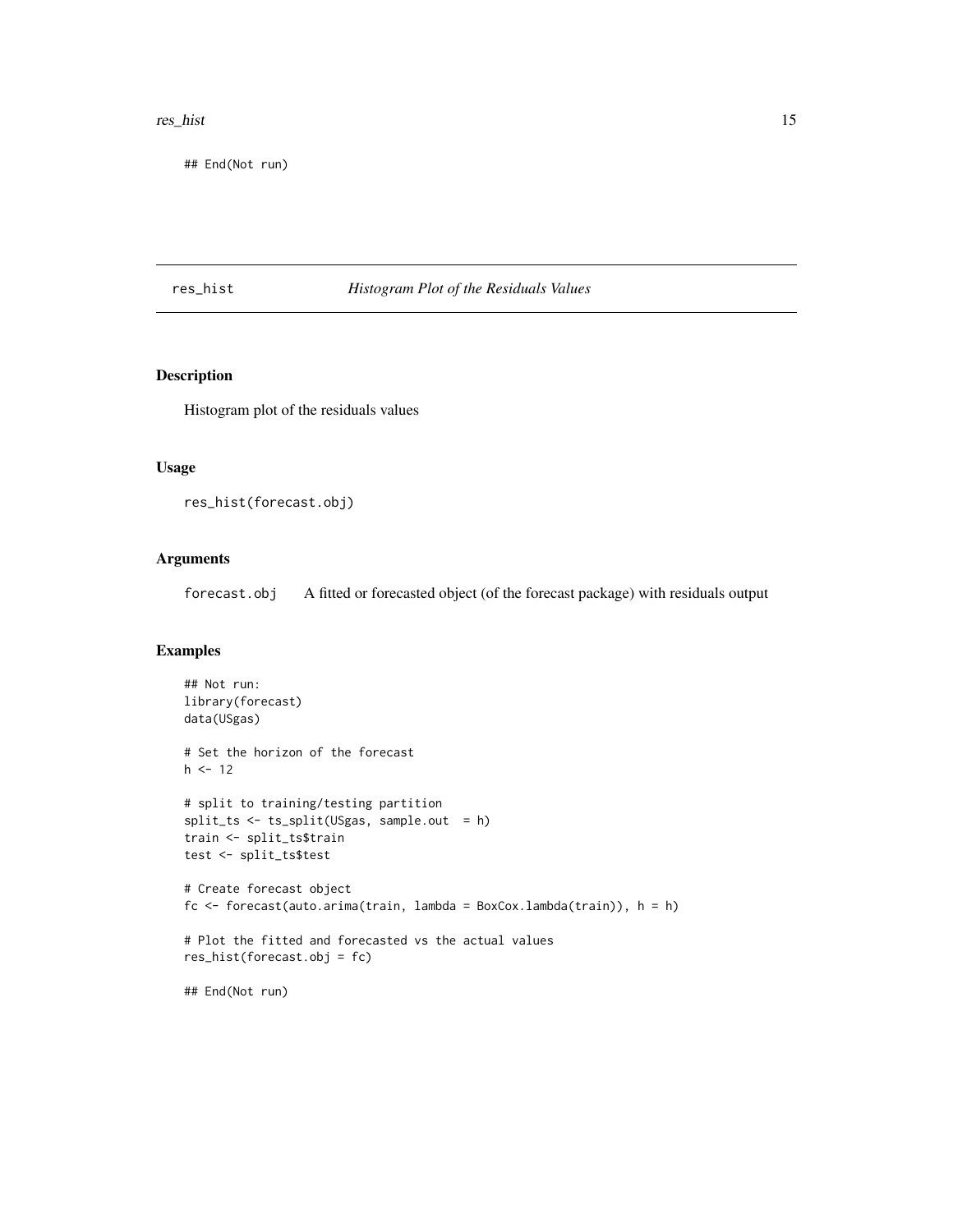#### <span id="page-14-0"></span>res\_hist 15

## End(Not run)

#### res\_hist *Histogram Plot of the Residuals Values*

# Description

Histogram plot of the residuals values

#### Usage

res\_hist(forecast.obj)

# Arguments

forecast.obj A fitted or forecasted object (of the forecast package) with residuals output

```
## Not run:
library(forecast)
data(USgas)
# Set the horizon of the forecast
h <- 12
# split to training/testing partition
split_ts <- ts_split(USgas, sample.out = h)
train <- split_ts$train
test <- split_ts$test
# Create forecast object
fc \leftarrow forecast(auto.arima(train, lambda = BoxCox.lambda(train)), h = h)
# Plot the fitted and forecasted vs the actual values
res_hist(forecast.obj = fc)
## End(Not run)
```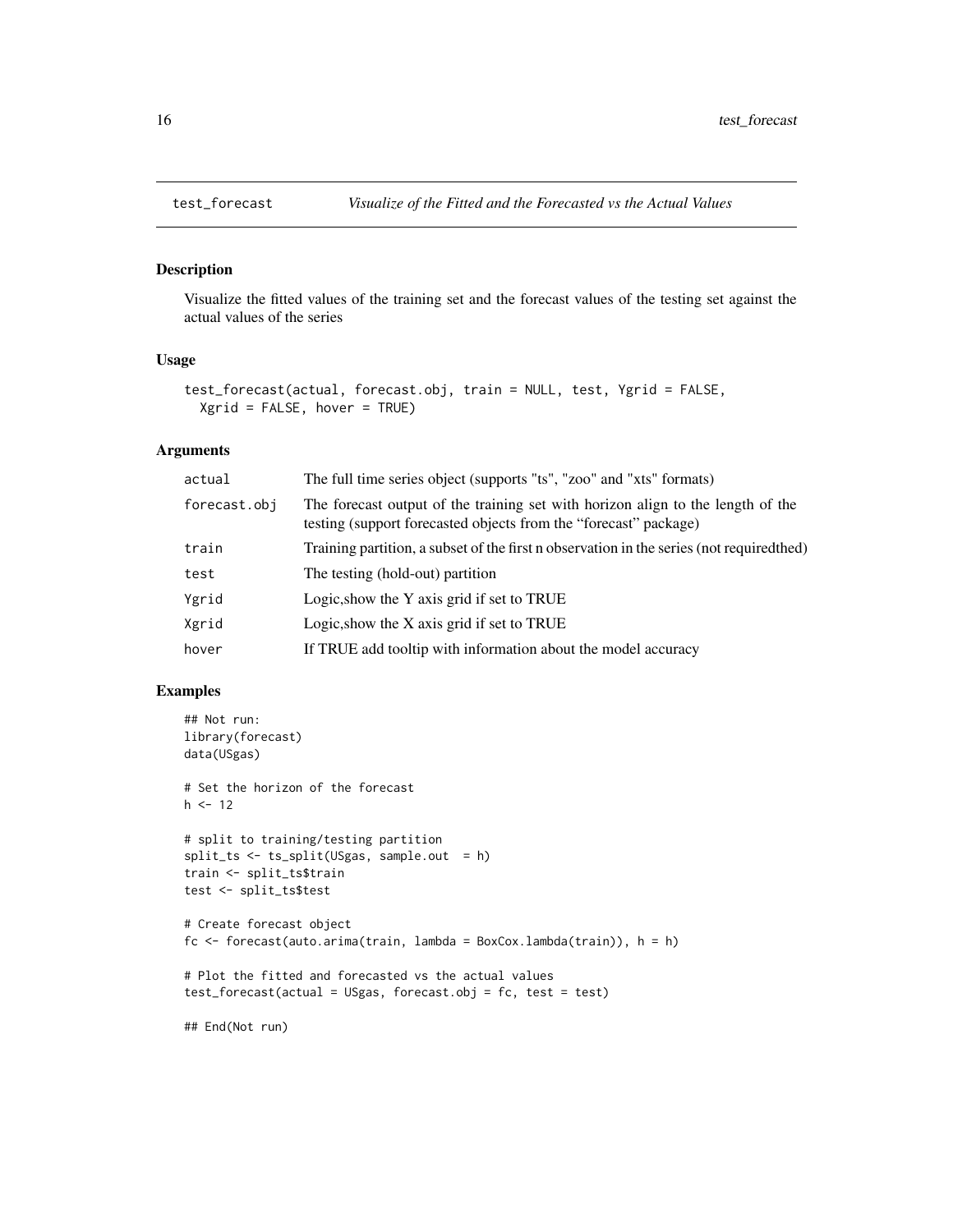Visualize the fitted values of the training set and the forecast values of the testing set against the actual values of the series

#### Usage

```
test_forecast(actual, forecast.obj, train = NULL, test, Ygrid = FALSE,
 Xgrid = FALSE, hover = TRUE)
```
#### Arguments

| actual       | The full time series object (supports "ts", "zoo" and "xts" formats)                                                                                |
|--------------|-----------------------------------------------------------------------------------------------------------------------------------------------------|
| forecast.obj | The forecast output of the training set with horizon align to the length of the<br>testing (support forecasted objects from the "forecast" package) |
| train        | Training partition, a subset of the first n observation in the series (not required thed)                                                           |
| test         | The testing (hold-out) partition                                                                                                                    |
| Ygrid        | Logic, show the Y axis grid if set to TRUE                                                                                                          |
| Xgrid        | Logic, show the X axis grid if set to TRUE                                                                                                          |
| hover        | If TRUE add tooltip with information about the model accuracy                                                                                       |

```
## Not run:
library(forecast)
data(USgas)
# Set the horizon of the forecast
h <- 12
# split to training/testing partition
split_ts <- ts_split(USgas, sample.out = h)
train <- split_ts$train
test <- split_ts$test
# Create forecast object
fc <- forecast(auto.arima(train, lambda = BoxCox.lambda(train)), h = h)
# Plot the fitted and forecasted vs the actual values
test_forecast(actual = USgas, forecast.obj = fc, test = test)
## End(Not run)
```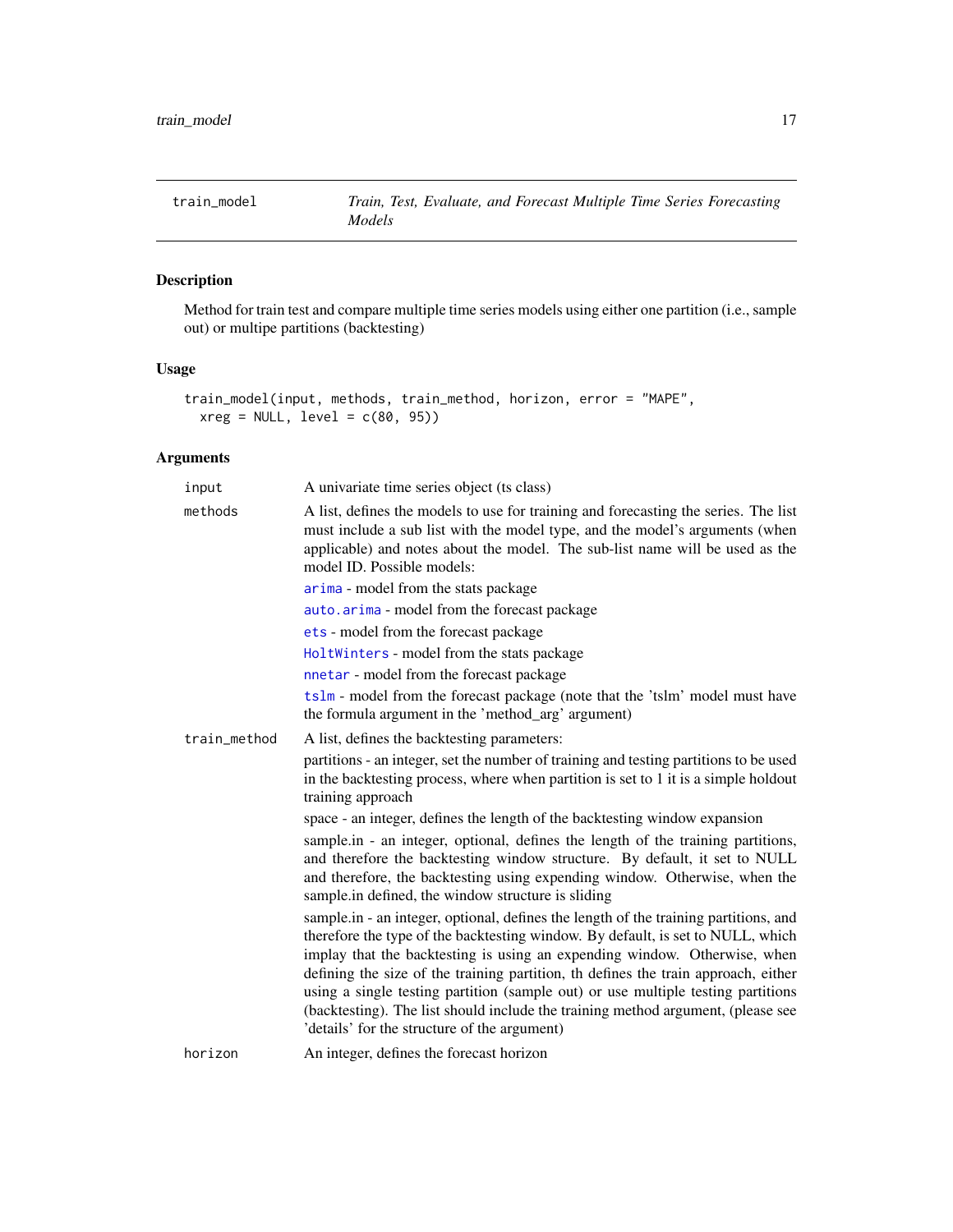<span id="page-16-1"></span><span id="page-16-0"></span>

Method for train test and compare multiple time series models using either one partition (i.e., sample out) or multipe partitions (backtesting)

# Usage

```
train_model(input, methods, train_method, horizon, error = "MAPE",
  xreg = NULL, level = c(80, 95))
```
# Arguments

| input        | A univariate time series object (ts class)                                                                                                                                                                                                                                                                                                                                                                                                                                                                         |
|--------------|--------------------------------------------------------------------------------------------------------------------------------------------------------------------------------------------------------------------------------------------------------------------------------------------------------------------------------------------------------------------------------------------------------------------------------------------------------------------------------------------------------------------|
| methods      | A list, defines the models to use for training and forecasting the series. The list<br>must include a sub list with the model type, and the model's arguments (when<br>applicable) and notes about the model. The sub-list name will be used as the<br>model ID. Possible models:                                                                                                                                                                                                                                  |
|              | arima - model from the stats package                                                                                                                                                                                                                                                                                                                                                                                                                                                                               |
|              | auto.arima - model from the forecast package                                                                                                                                                                                                                                                                                                                                                                                                                                                                       |
|              | ets - model from the forecast package                                                                                                                                                                                                                                                                                                                                                                                                                                                                              |
|              | HoltWinters - model from the stats package                                                                                                                                                                                                                                                                                                                                                                                                                                                                         |
|              | nnetar - model from the forecast package                                                                                                                                                                                                                                                                                                                                                                                                                                                                           |
|              | tslm - model from the forecast package (note that the 'tslm' model must have<br>the formula argument in the 'method_arg' argument)                                                                                                                                                                                                                                                                                                                                                                                 |
| train_method | A list, defines the backtesting parameters:                                                                                                                                                                                                                                                                                                                                                                                                                                                                        |
|              | partitions - an integer, set the number of training and testing partitions to be used<br>in the backtesting process, where when partition is set to 1 it is a simple holdout<br>training approach                                                                                                                                                                                                                                                                                                                  |
|              | space - an integer, defines the length of the backtesting window expansion                                                                                                                                                                                                                                                                                                                                                                                                                                         |
|              | sample in - an integer, optional, defines the length of the training partitions,<br>and therefore the backtesting window structure. By default, it set to NULL<br>and therefore, the backtesting using expending window. Otherwise, when the<br>sample.in defined, the window structure is sliding                                                                                                                                                                                                                 |
|              | sample.in - an integer, optional, defines the length of the training partitions, and<br>therefore the type of the backtesting window. By default, is set to NULL, which<br>implay that the backtesting is using an expending window. Otherwise, when<br>defining the size of the training partition, th defines the train approach, either<br>using a single testing partition (sample out) or use multiple testing partitions<br>(backtesting). The list should include the training method argument, (please see |
|              | 'details' for the structure of the argument)                                                                                                                                                                                                                                                                                                                                                                                                                                                                       |
| horizon      | An integer, defines the forecast horizon                                                                                                                                                                                                                                                                                                                                                                                                                                                                           |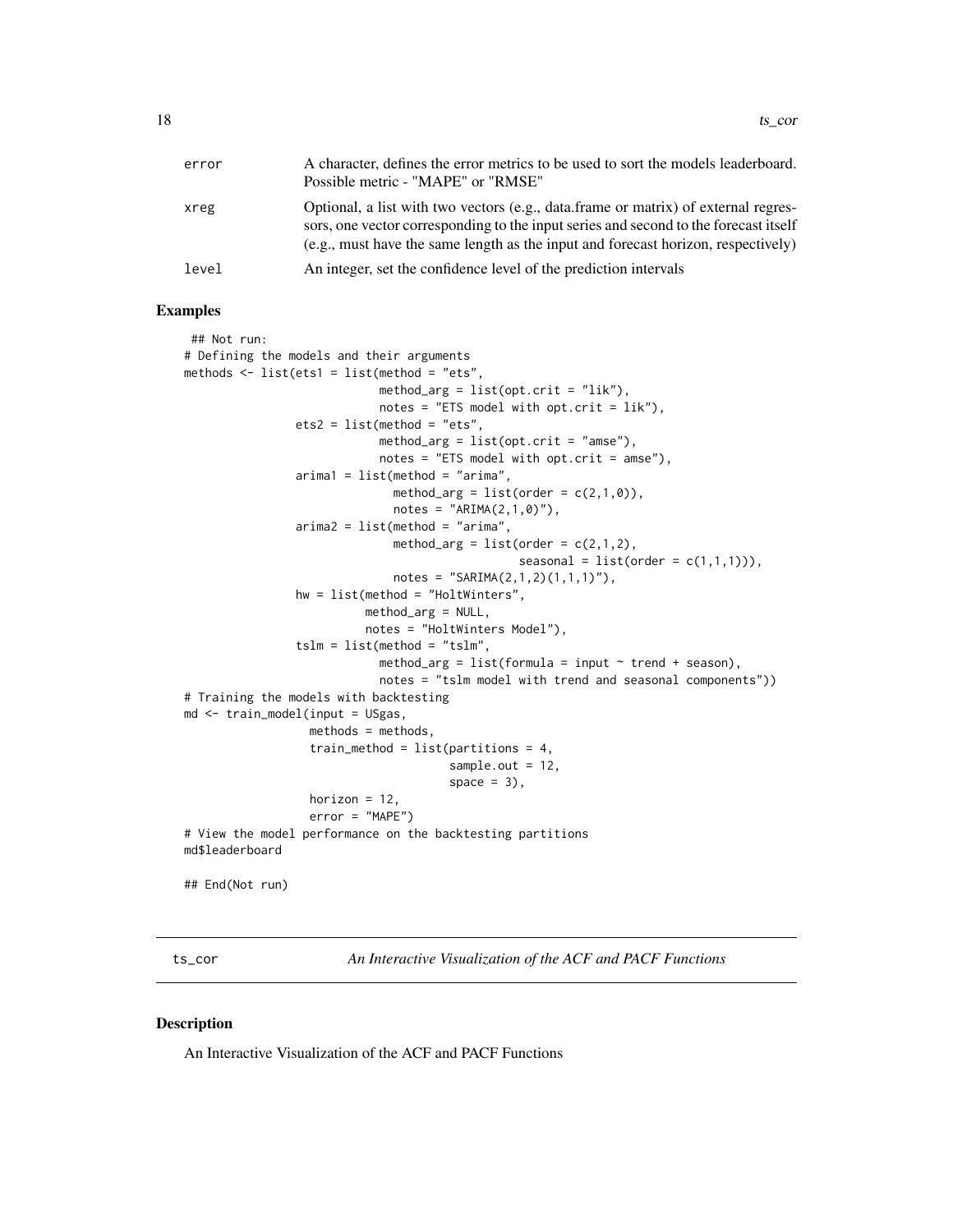<span id="page-17-0"></span>

| error | A character, defines the error metrics to be used to sort the models leaderboard.<br>Possible metric - "MAPE" or "RMSE"                                                                                                                                           |
|-------|-------------------------------------------------------------------------------------------------------------------------------------------------------------------------------------------------------------------------------------------------------------------|
| xreg  | Optional, a list with two vectors (e.g., data.frame or matrix) of external regres-<br>sors, one vector corresponding to the input series and second to the forecast itself<br>$(e.g., must have the same length as the input and forecast horizon, respectively)$ |
| level | An integer, set the confidence level of the prediction intervals                                                                                                                                                                                                  |

#### Examples

```
## Not run:
# Defining the models and their arguments
methods \le list(ets1 = list(method = "ets",
                            method_arg = list(opt.crit = "lik"),
                            notes = "ETS model with opt.crit = lik"),
                ets2 = list(method = "ets",method_{arg} = list(opt.crit = "ames"),notes = "ETS model with opt.crit = amse"),
                arimal = list(method = "arima",method_arg = list(order = c(2,1,0)),
                              notes = "ARIMA(2,1,0)"),
                arima2 = list(method = "arima",
                              method_arg = list(order = c(2,1,2),
                                                seasonal = list(order = c(1,1,1))),
                              notes = "SARIMA(2,1,2)(1,1,1)"),
                hw = list(method = "HoltWinters",
                          method_arg = NULL,
                          notes = "HoltWinters Model"),
                tslm = list(method = "tslm",method_arg = list(formula = input \sim trend + season),
                            notes = "tslm model with trend and seasonal components"))
# Training the models with backtesting
md <- train_model(input = USgas,
                  methods = methods,
                  train_method = list(partitions = 4,
                                      sample.out = 12,
                                      space = 3),
                  horizon = 12,
                  error = "MAPE")
# View the model performance on the backtesting partitions
md$leaderboard
## End(Not run)
```
ts\_cor *An Interactive Visualization of the ACF and PACF Functions*

#### Description

An Interactive Visualization of the ACF and PACF Functions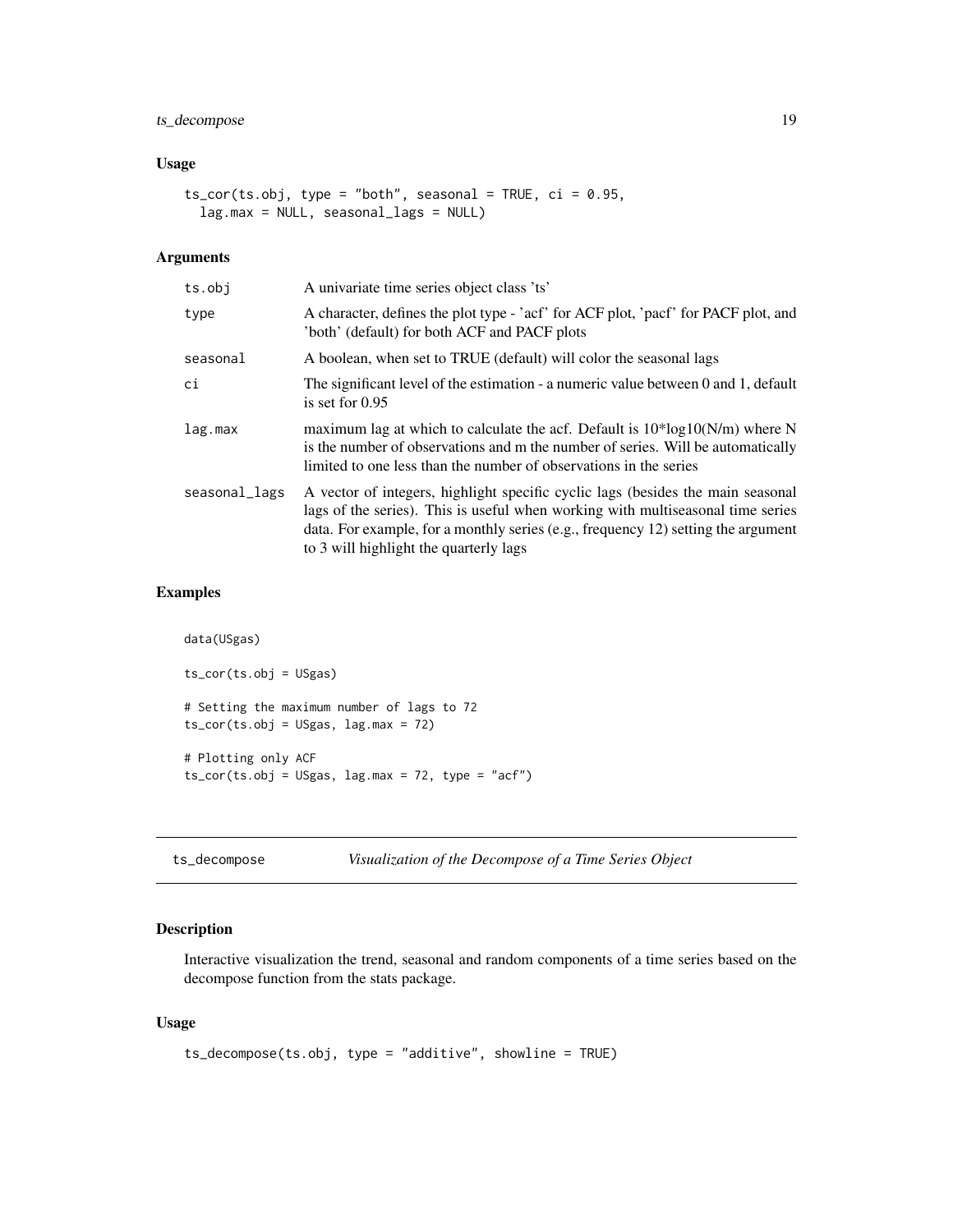# <span id="page-18-0"></span>ts\_decompose 19

#### Usage

```
ts_cor(ts.obj, type = "both", seasonal = TRUE, ci = 0.95,lag.max = NULL, seasonal_lags = NULL)
```
# Arguments

| ts.obj        | A univariate time series object class 'ts'                                                                                                                                                                                                                                                        |
|---------------|---------------------------------------------------------------------------------------------------------------------------------------------------------------------------------------------------------------------------------------------------------------------------------------------------|
| type          | A character, defines the plot type - 'acf' for ACF plot, 'pacf' for PACF plot, and<br>'both' (default) for both ACF and PACF plots                                                                                                                                                                |
| seasonal      | A boolean, when set to TRUE (default) will color the seasonal lags                                                                                                                                                                                                                                |
| ci            | The significant level of the estimation - a numeric value between 0 and 1, default<br>is set for $0.95$                                                                                                                                                                                           |
| lag.max       | maximum lag at which to calculate the acf. Default is $10*log10(N/m)$ where N<br>is the number of observations and m the number of series. Will be automatically<br>limited to one less than the number of observations in the series                                                             |
| seasonal_lags | A vector of integers, highlight specific cyclic lags (besides the main seasonal<br>lags of the series). This is useful when working with multiseasonal time series<br>data. For example, for a monthly series (e.g., frequency 12) setting the argument<br>to 3 will highlight the quarterly lags |

#### Examples

```
data(USgas)
ts_cor(ts.obj = USgas)
# Setting the maximum number of lags to 72
ts_cor(ts.obj = USgas, lag.max = 72)
# Plotting only ACF
ts\_cor(ts.obj = USgas, lag.max = 72, type = "acf")
```
ts\_decompose *Visualization of the Decompose of a Time Series Object*

#### Description

Interactive visualization the trend, seasonal and random components of a time series based on the decompose function from the stats package.

#### Usage

```
ts_decompose(ts.obj, type = "additive", showline = TRUE)
```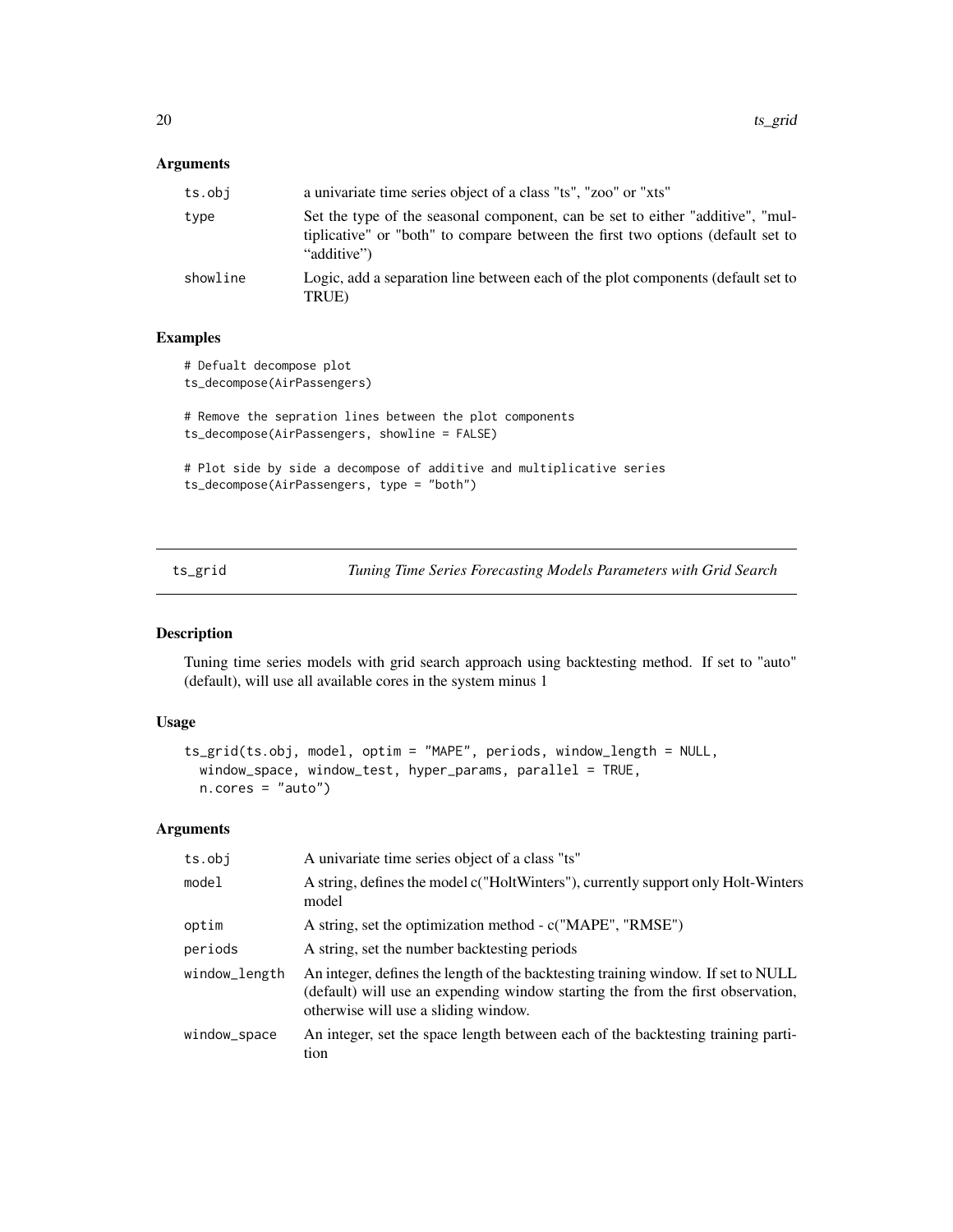# <span id="page-19-0"></span>Arguments

| ts.obi   | a univariate time series object of a class "ts", "zoo" or "xts"                                                                                                                  |
|----------|----------------------------------------------------------------------------------------------------------------------------------------------------------------------------------|
| type     | Set the type of the seasonal component, can be set to either "additive", "mul-<br>tiplicative" or "both" to compare between the first two options (default set to<br>"additive") |
| showline | Logic, add a separation line between each of the plot components (default set to<br>TRUE)                                                                                        |

# Examples

```
# Defualt decompose plot
ts_decompose(AirPassengers)
# Remove the sepration lines between the plot components
ts_decompose(AirPassengers, showline = FALSE)
# Plot side by side a decompose of additive and multiplicative series
ts_decompose(AirPassengers, type = "both")
```

| ts_grid |  | Tuning Time Series Forecasting Models Parameters with Grid Search |  |
|---------|--|-------------------------------------------------------------------|--|
|         |  |                                                                   |  |

# Description

Tuning time series models with grid search approach using backtesting method. If set to "auto" (default), will use all available cores in the system minus 1

# Usage

```
ts_grid(ts.obj, model, optim = "MAPE", periods, window_length = NULL,
 window_space, window_test, hyper_params, parallel = TRUE,
 n.cores = "auto")
```
# Arguments

| ts.obj        | A univariate time series object of a class "ts"                                                                                                                                                              |
|---------------|--------------------------------------------------------------------------------------------------------------------------------------------------------------------------------------------------------------|
| model         | A string, defines the model c("HoltWinters"), currently support only Holt-Winters<br>model                                                                                                                   |
| optim         | A string, set the optimization method - c("MAPE", "RMSE")                                                                                                                                                    |
| periods       | A string, set the number backtesting periods                                                                                                                                                                 |
| window_length | An integer, defines the length of the backtesting training window. If set to NULL<br>(default) will use an expending window starting the from the first observation,<br>otherwise will use a sliding window. |
| window_space  | An integer, set the space length between each of the backtesting training parti-<br>tion                                                                                                                     |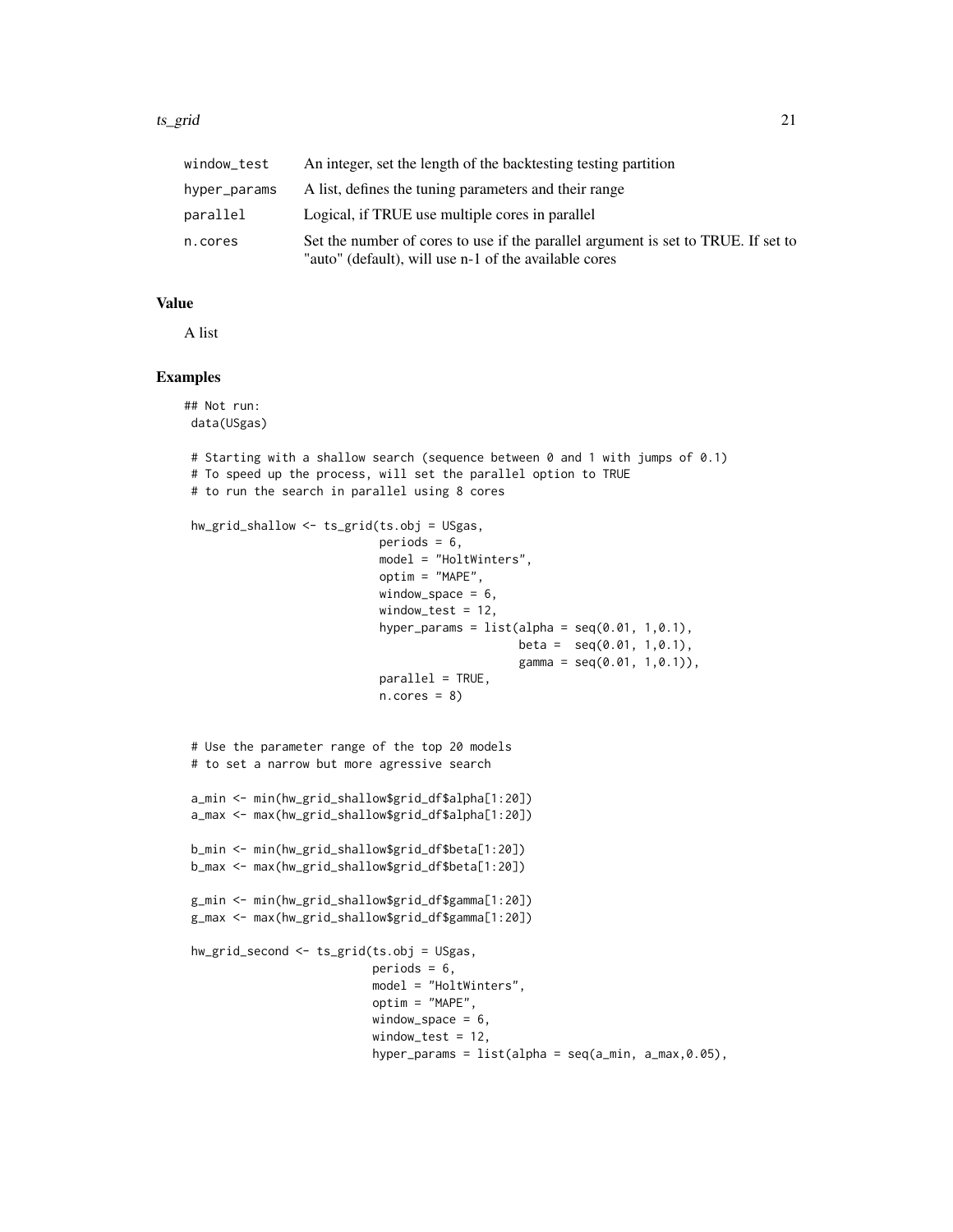#### ts\_grid 21

| window_test  | An integer, set the length of the backtesting testing partition                                                                            |
|--------------|--------------------------------------------------------------------------------------------------------------------------------------------|
| hyper_params | A list, defines the tuning parameters and their range                                                                                      |
| parallel     | Logical, if TRUE use multiple cores in parallel                                                                                            |
| n.cores      | Set the number of cores to use if the parallel argument is set to TRUE. If set to<br>"auto" (default), will use n-1 of the available cores |

#### Value

A list

```
## Not run:
data(USgas)
# Starting with a shallow search (sequence between 0 and 1 with jumps of 0.1)
# To speed up the process, will set the parallel option to TRUE
# to run the search in parallel using 8 cores
hw_grid_shallow <- ts_grid(ts.obj = USgas,
                            periods = 6,
                            model = "HoltWinters",
                            optim = "MAPE",
                            window_space = 6,
                            window_test = 12,
                            hyper_params = list(alpha = seq(0.01, 1, 0.1)),
                                                 beta = seq(0.01, 1, 0.1),
                                                 gamma = seq(0.01, 1, 0.1)),parallel = TRUE,
                            n.core<sub>s</sub> = 8)# Use the parameter range of the top 20 models
 # to set a narrow but more agressive search
a_min <- min(hw_grid_shallow$grid_df$alpha[1:20])
 a_max <- max(hw_grid_shallow$grid_df$alpha[1:20])
b_min <- min(hw_grid_shallow$grid_df$beta[1:20])
b_max <- max(hw_grid_shallow$grid_df$beta[1:20])
g_min <- min(hw_grid_shallow$grid_df$gamma[1:20])
g_max <- max(hw_grid_shallow$grid_df$gamma[1:20])
hw_grid_second <- ts_grid(ts.obj = USgas,
                           periods = 6,
                           model = "HoltWinters",
                           optim = "MAPE",
                           window_space = 6,
                           window_test = 12,
                           hyper_params = list(alpha = seq(a,min, a_max, 0.05),
```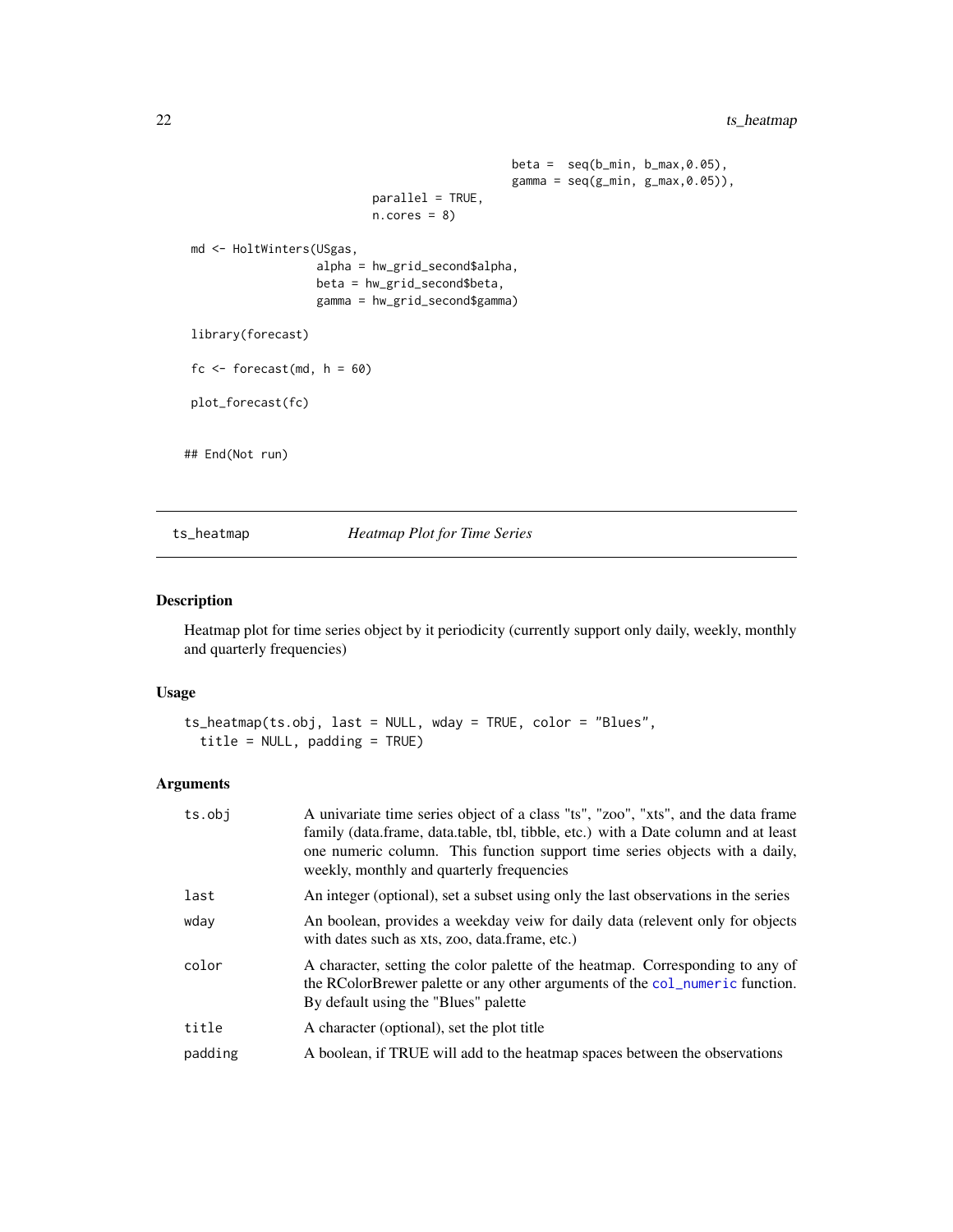```
beta = seq(b_{min}, b_{max}, 0.05),
                                                  gamma = seq(g\_min, g\_max, 0.05),
                            parallel = TRUE,
                            n.core<sub>s</sub> = 8)md <- HoltWinters(USgas,
                    alpha = hw_grid_second$alpha,
                    beta = hw_grid_second$beta,
                    gamma = hw_grid_second$gamma)
library(forecast)
fc \le forecast(md, h = 60)
plot_forecast(fc)
## End(Not run)
```
#### ts\_heatmap *Heatmap Plot for Time Series*

#### Description

Heatmap plot for time series object by it periodicity (currently support only daily, weekly, monthly and quarterly frequencies)

#### Usage

```
ts_heatmap(ts.obj, last = NULL, wday = TRUE, color = "Blues",
  title = NULL, padding = TRUE)
```
#### Arguments

| ts.obj  | A univariate time series object of a class "ts", "zoo", "xts", and the data frame<br>family (data.frame, data.table, tbl, tibble, etc.) with a Date column and at least<br>one numeric column. This function support time series objects with a daily,<br>weekly, monthly and quarterly frequencies |
|---------|-----------------------------------------------------------------------------------------------------------------------------------------------------------------------------------------------------------------------------------------------------------------------------------------------------|
| last    | An integer (optional), set a subset using only the last observations in the series                                                                                                                                                                                                                  |
| wday    | An boolean, provides a weekday veiw for daily data (relevent only for objects<br>with dates such as xts, zoo, data.frame, etc.)                                                                                                                                                                     |
| color   | A character, setting the color palette of the heatmap. Corresponding to any of<br>the RColorBrewer palette or any other arguments of the col_numeric function.<br>By default using the "Blues" palette                                                                                              |
| title   | A character (optional), set the plot title                                                                                                                                                                                                                                                          |
| padding | A boolean, if TRUE will add to the heatmap spaces between the observations                                                                                                                                                                                                                          |
|         |                                                                                                                                                                                                                                                                                                     |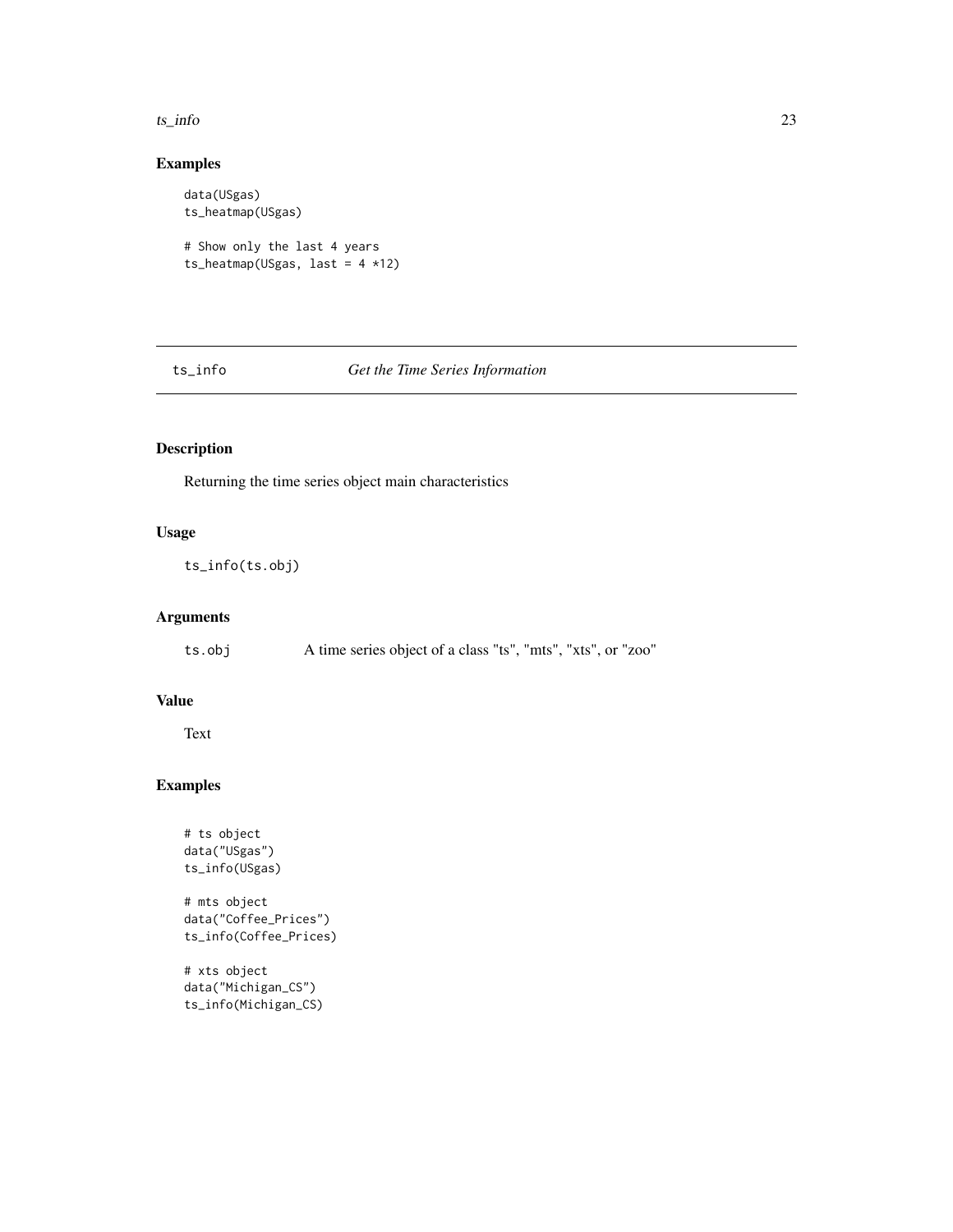#### <span id="page-22-0"></span> $t_s$ \_info 23

# Examples

```
data(USgas)
ts_heatmap(USgas)
# Show only the last 4 years
ts_heatmap(USgas, last = 4 *12)
```
# ts\_info *Get the Time Series Information*

# Description

Returning the time series object main characteristics

# Usage

ts\_info(ts.obj)

# Arguments

ts.obj A time series object of a class "ts", "mts", "xts", or "zoo"

# Value

Text

# Examples

```
# ts object
data("USgas")
ts_info(USgas)
# mts object
data("Coffee_Prices")
ts_info(Coffee_Prices)
```
# xts object data("Michigan\_CS") ts\_info(Michigan\_CS)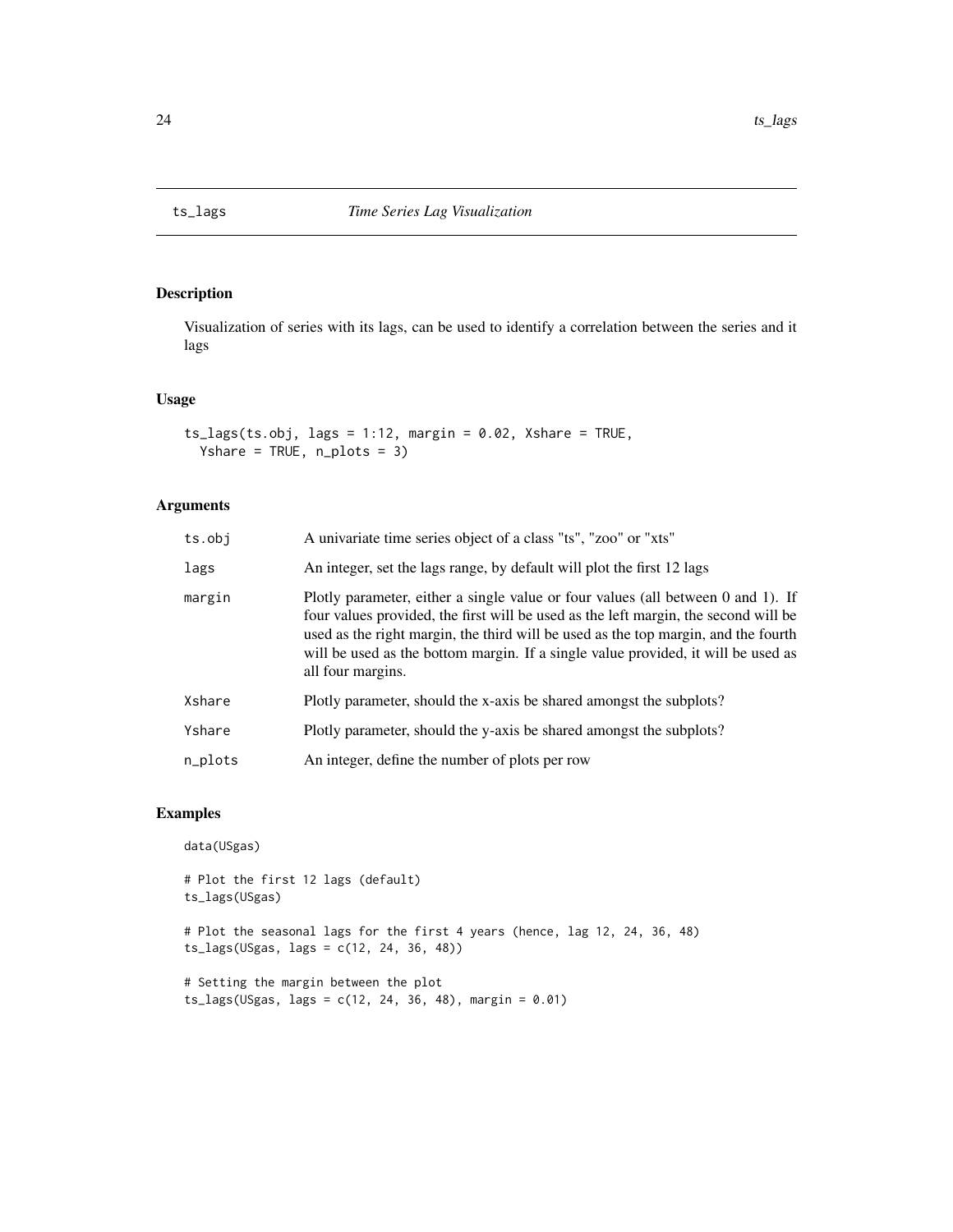<span id="page-23-0"></span>

Visualization of series with its lags, can be used to identify a correlation between the series and it lags

# Usage

```
ts\_{lags}(ts.obj, lags = 1:12, margin = 0.02, Xshare = TRUE,Yshare = TRUE, n_plots = 3)
```
# Arguments

| ts.obj  | A univariate time series object of a class "ts", "zoo" or "xts"                                                                                                                                                                                                                                                                                                         |
|---------|-------------------------------------------------------------------------------------------------------------------------------------------------------------------------------------------------------------------------------------------------------------------------------------------------------------------------------------------------------------------------|
| lags    | An integer, set the lags range, by default will plot the first 12 lags                                                                                                                                                                                                                                                                                                  |
| margin  | Plotly parameter, either a single value or four values (all between 0 and 1). If<br>four values provided, the first will be used as the left margin, the second will be<br>used as the right margin, the third will be used as the top margin, and the fourth<br>will be used as the bottom margin. If a single value provided, it will be used as<br>all four margins. |
| Xshare  | Plotly parameter, should the x-axis be shared amongst the subplots?                                                                                                                                                                                                                                                                                                     |
| Yshare  | Plotly parameter, should the y-axis be shared amongst the subplots?                                                                                                                                                                                                                                                                                                     |
| n_plots | An integer, define the number of plots per row                                                                                                                                                                                                                                                                                                                          |
|         |                                                                                                                                                                                                                                                                                                                                                                         |

```
data(USgas)
# Plot the first 12 lags (default)
ts_lags(USgas)
# Plot the seasonal lags for the first 4 years (hence, lag 12, 24, 36, 48)
ts_lags(USgas, lags = c(12, 24, 36, 48))
# Setting the margin between the plot
ts\_{lags}(USgas, lags = c(12, 24, 36, 48), margin = 0.01)
```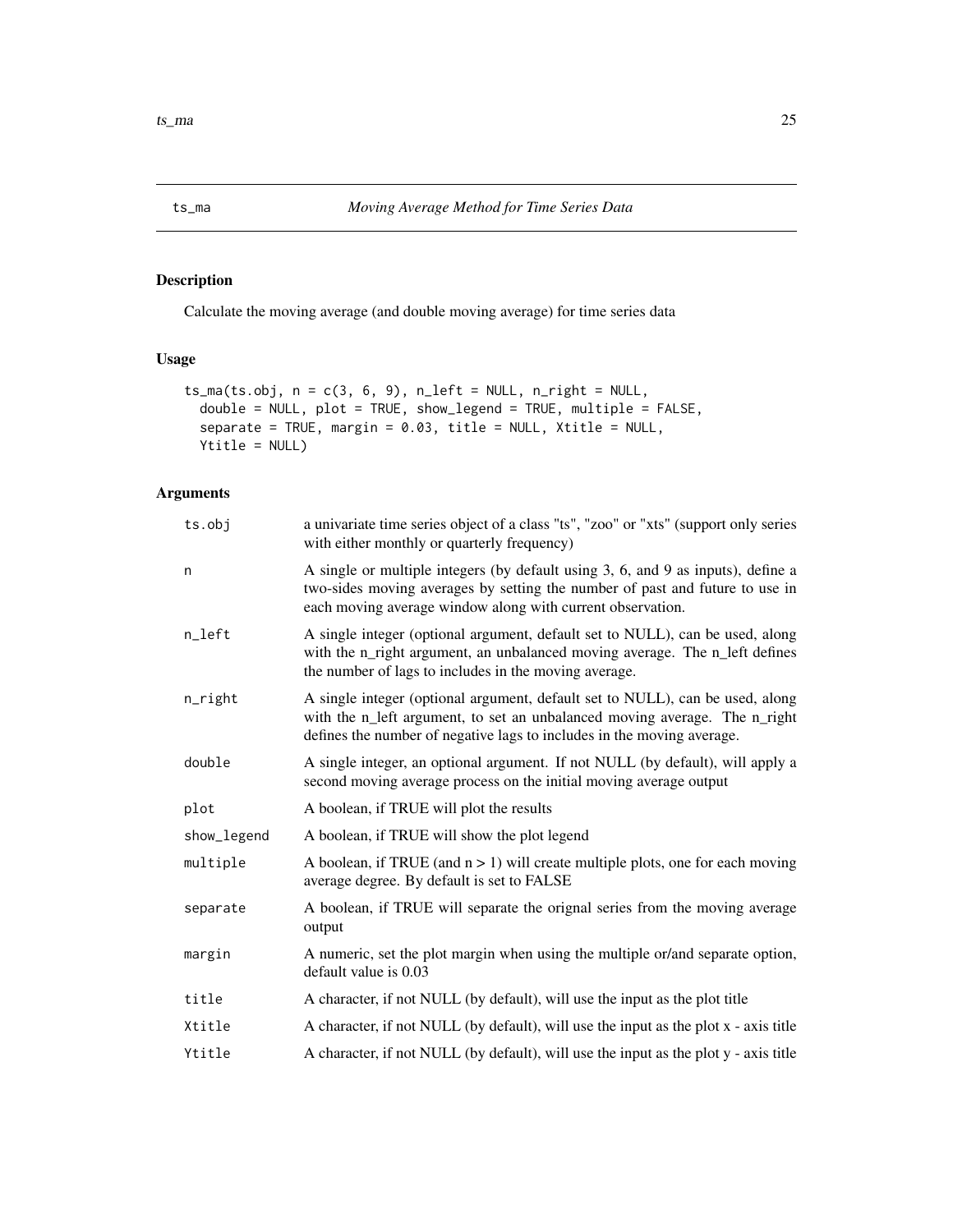<span id="page-24-0"></span>Calculate the moving average (and double moving average) for time series data

# Usage

```
ts_m (ts.obj, n = c(3, 6, 9), n_l = m, n_l = m, n_l = m,double = NULL, plot = TRUE, show_legend = TRUE, multiple = FALSE,
  separate = TRUE, margin = 0.03, title = NULL, Xtitle = NULL,
 Ytitle = NULL)
```
# Arguments

| ts.obj      | a univariate time series object of a class "ts", "zoo" or "xts" (support only series<br>with either monthly or quarterly frequency)                                                                                                   |
|-------------|---------------------------------------------------------------------------------------------------------------------------------------------------------------------------------------------------------------------------------------|
| n           | A single or multiple integers (by default using 3, 6, and 9 as inputs), define a<br>two-sides moving averages by setting the number of past and future to use in<br>each moving average window along with current observation.        |
| n_left      | A single integer (optional argument, default set to NULL), can be used, along<br>with the n_right argument, an unbalanced moving average. The n_left defines<br>the number of lags to includes in the moving average.                 |
| n_right     | A single integer (optional argument, default set to NULL), can be used, along<br>with the n_left argument, to set an unbalanced moving average. The n_right<br>defines the number of negative lags to includes in the moving average. |
| double      | A single integer, an optional argument. If not NULL (by default), will apply a<br>second moving average process on the initial moving average output                                                                                  |
| plot        | A boolean, if TRUE will plot the results                                                                                                                                                                                              |
| show_legend | A boolean, if TRUE will show the plot legend                                                                                                                                                                                          |
| multiple    | A boolean, if TRUE (and $n > 1$ ) will create multiple plots, one for each moving<br>average degree. By default is set to FALSE                                                                                                       |
| separate    | A boolean, if TRUE will separate the orignal series from the moving average<br>output                                                                                                                                                 |
| margin      | A numeric, set the plot margin when using the multiple or/and separate option,<br>default value is 0.03                                                                                                                               |
| title       | A character, if not NULL (by default), will use the input as the plot title                                                                                                                                                           |
| Xtitle      | A character, if not NULL (by default), will use the input as the plot x - axis title                                                                                                                                                  |
| Ytitle      | A character, if not NULL (by default), will use the input as the plot y - axis title                                                                                                                                                  |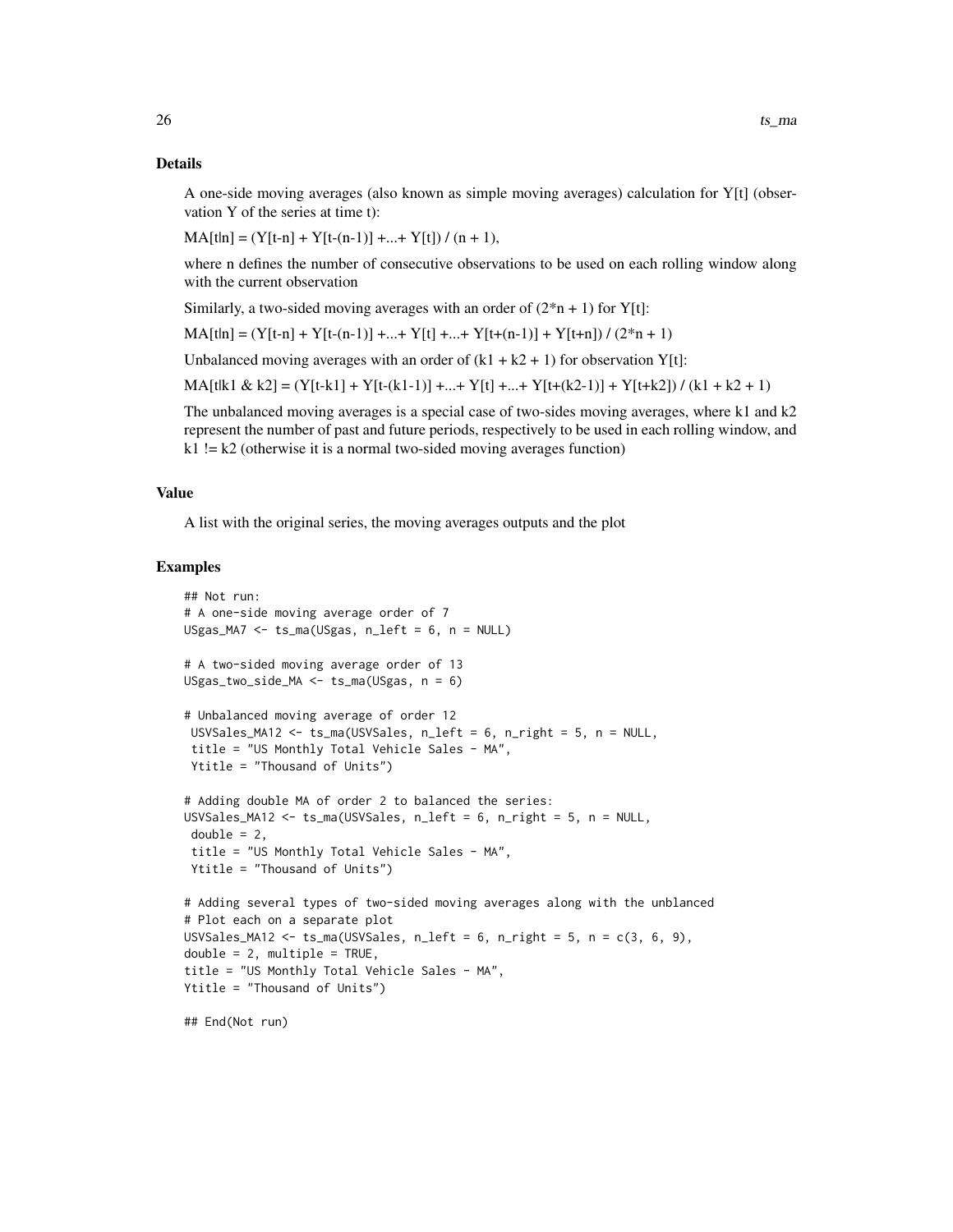#### Details

A one-side moving averages (also known as simple moving averages) calculation for Y[t] (observation Y of the series at time t):

 $MA[t|n] = (Y[t-n] + Y[t-(n-1)] + ... + Y[t]) / (n + 1),$ 

where n defines the number of consecutive observations to be used on each rolling window along with the current observation

Similarly, a two-sided moving averages with an order of  $(2*n + 1)$  for Y[t]:

 $MA[t|n] = (Y[t-n] + Y[t-(n-1)] + ... + Y[t] + ... + Y[t+(n-1)] + Y[t+n]) / (2*n+1)$ 

Unbalanced moving averages with an order of  $(k1 + k2 + 1)$  for observation Y[t]:

 $MA[t|k1 \& k2] = (Y[t-k1] + Y[t-(k1-1)] + ... + Y[t] + ... + Y[t+(k2-1)] + Y[t+k2]) / (k1 + k2 + 1)$ 

The unbalanced moving averages is a special case of two-sides moving averages, where k1 and k2 represent the number of past and future periods, respectively to be used in each rolling window, and  $k1$  !=  $k2$  (otherwise it is a normal two-sided moving averages function)

#### Value

A list with the original series, the moving averages outputs and the plot

```
## Not run:
# A one-side moving average order of 7
USgas_MA7 <- ts_ma(USgas, n_left = 6, n = NULL)
# A two-sided moving average order of 13
USgas_two_side_MA <- ts_ma(USgas, n = 6)
# Unbalanced moving average of order 12
USVSales_MA12 <- ts_ma(USVSales, n_left = 6, n_right = 5, n = NULL,
 title = "US Monthly Total Vehicle Sales - MA",
Ytitle = "Thousand of Units")
# Adding double MA of order 2 to balanced the series:
USVSales_MA12 <- ts_ma(USVSales, n_left = 6, n_right = 5, n = NULL,
 double = 2.
 title = "US Monthly Total Vehicle Sales - MA",
 Ytitle = "Thousand of Units")
# Adding several types of two-sided moving averages along with the unblanced
# Plot each on a separate plot
USVSales_MA12 <- ts_ma(USVSales, n_left = 6, n_right = 5, n = c(3, 6, 9),
double = 2, multiple = TRUE,
title = "US Monthly Total Vehicle Sales - MA",
Ytitle = "Thousand of Units")
## End(Not run)
```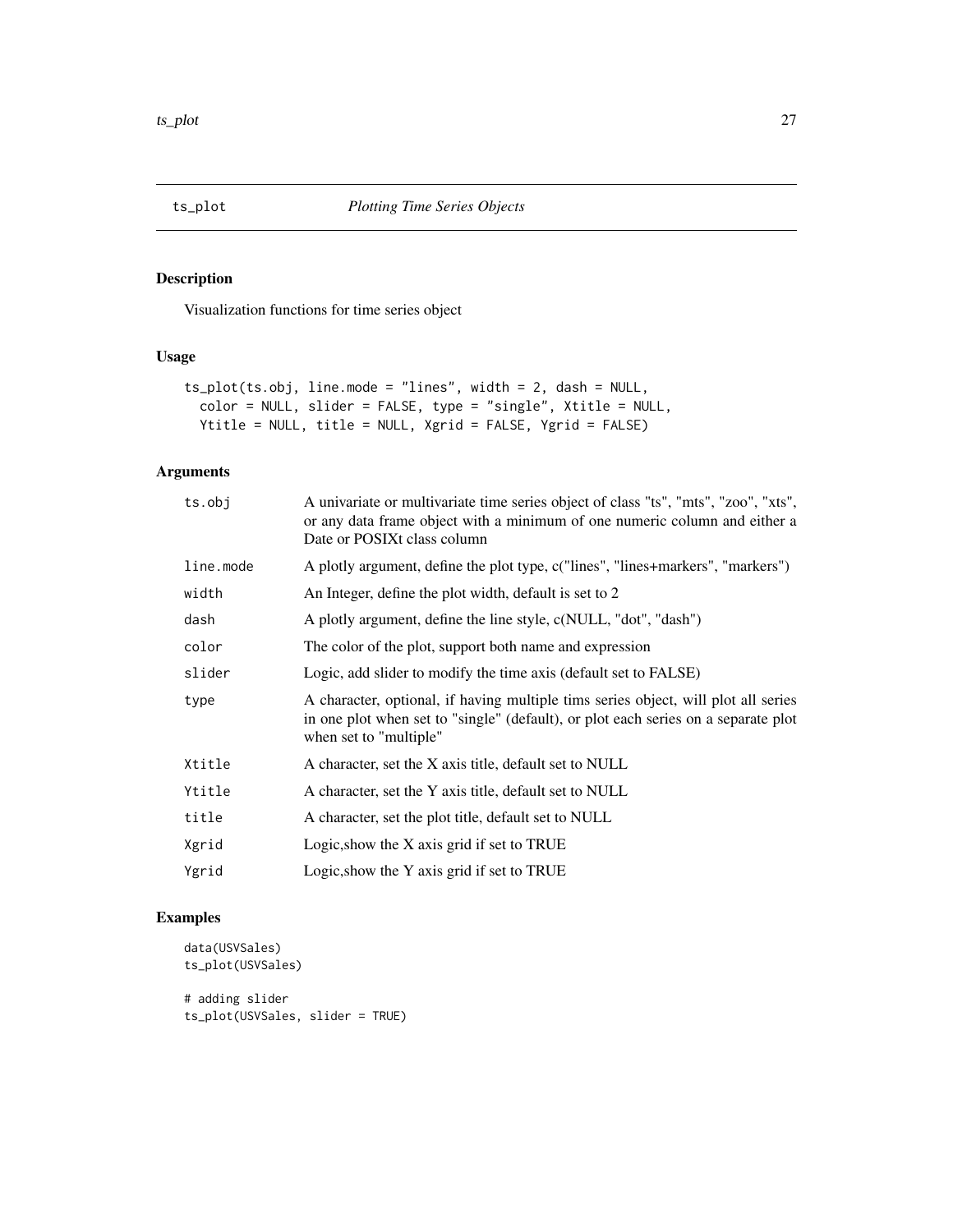<span id="page-26-0"></span>

Visualization functions for time series object

#### Usage

```
ts_plot(ts.obj, line.mode = "lines", width = 2, dash = NULL,
 color = NULL, slider = FALSE, type = "single", Xtitle = NULL,
 Ytitle = NULL, title = NULL, Xgrid = FALSE, Ygrid = FALSE)
```
# Arguments

| ts.obj    | A univariate or multivariate time series object of class "ts", "mts", "zoo", "xts",<br>or any data frame object with a minimum of one numeric column and either a<br>Date or POSIXt class column   |
|-----------|----------------------------------------------------------------------------------------------------------------------------------------------------------------------------------------------------|
| line.mode | A plotly argument, define the plot type, c("lines", "lines+markers", "markers")                                                                                                                    |
| width     | An Integer, define the plot width, default is set to 2                                                                                                                                             |
| dash      | A plotly argument, define the line style, c(NULL, "dot", "dash")                                                                                                                                   |
| color     | The color of the plot, support both name and expression                                                                                                                                            |
| slider    | Logic, add slider to modify the time axis (default set to FALSE)                                                                                                                                   |
| type      | A character, optional, if having multiple tims series object, will plot all series<br>in one plot when set to "single" (default), or plot each series on a separate plot<br>when set to "multiple" |
| Xtitle    | A character, set the X axis title, default set to NULL                                                                                                                                             |
| Ytitle    | A character, set the Y axis title, default set to NULL                                                                                                                                             |
| title     | A character, set the plot title, default set to NULL                                                                                                                                               |
| Xgrid     | Logic, show the X axis grid if set to TRUE                                                                                                                                                         |
| Ygrid     | Logic, show the Y axis grid if set to TRUE                                                                                                                                                         |
|           |                                                                                                                                                                                                    |

```
data(USVSales)
ts_plot(USVSales)
# adding slider
ts_plot(USVSales, slider = TRUE)
```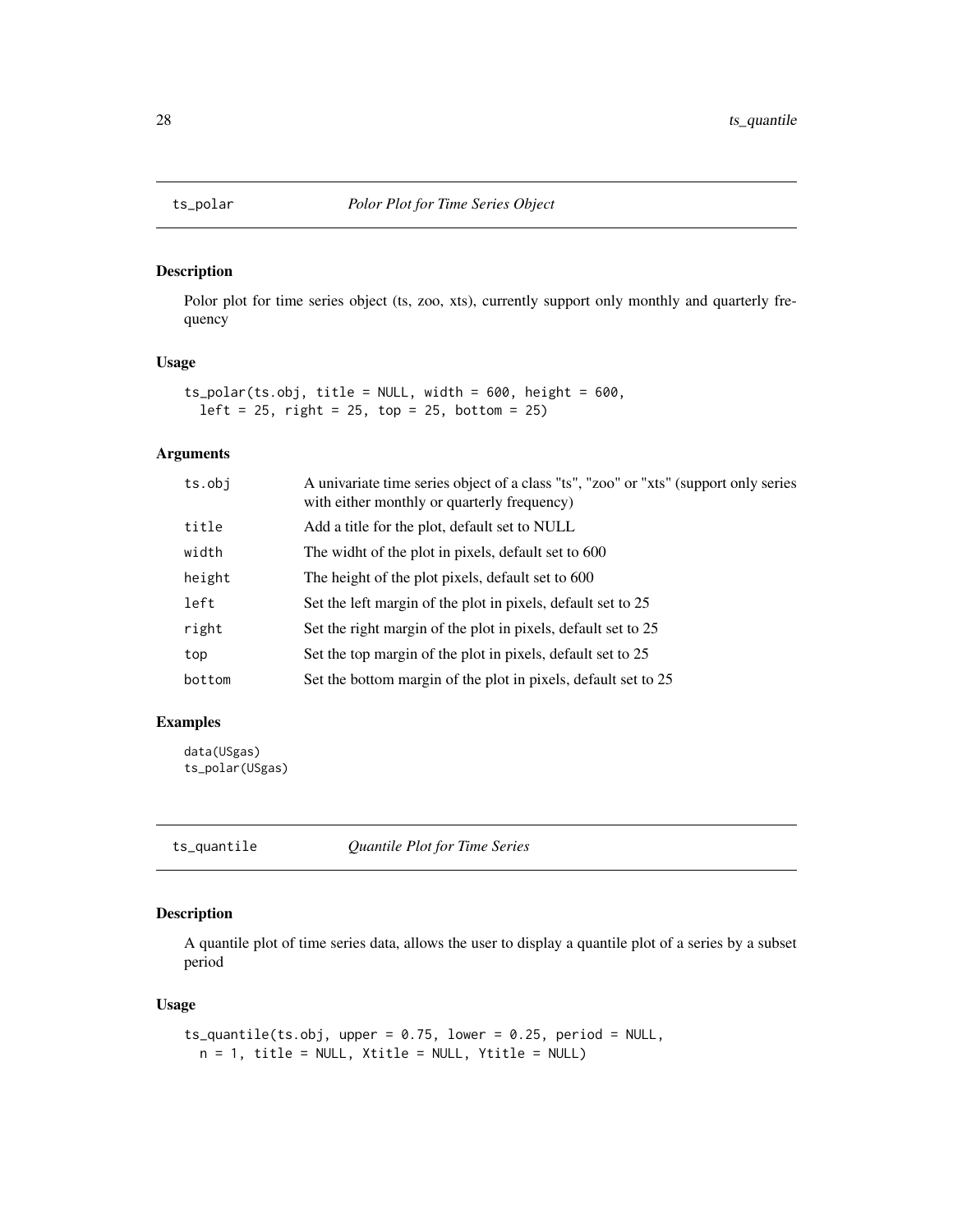<span id="page-27-0"></span>

Polor plot for time series object (ts, zoo, xts), currently support only monthly and quarterly frequency

#### Usage

```
ts_polar(ts.obj, title = NULL, width = 600, height = 600,
  left = 25, right = 25, top = 25, bottom = 25)
```
# Arguments

| ts.obj | A univariate time series object of a class "ts", "zoo" or "xts" (support only series<br>with either monthly or quarterly frequency) |
|--------|-------------------------------------------------------------------------------------------------------------------------------------|
| title  | Add a title for the plot, default set to NULL                                                                                       |
| width  | The widht of the plot in pixels, default set to 600                                                                                 |
| height | The height of the plot pixels, default set to 600                                                                                   |
| left   | Set the left margin of the plot in pixels, default set to 25                                                                        |
| right  | Set the right margin of the plot in pixels, default set to 25                                                                       |
| top    | Set the top margin of the plot in pixels, default set to 25                                                                         |
| bottom | Set the bottom margin of the plot in pixels, default set to 25                                                                      |

# Examples

data(USgas) ts\_polar(USgas)

ts\_quantile *Quantile Plot for Time Series*

# Description

A quantile plot of time series data, allows the user to display a quantile plot of a series by a subset period

#### Usage

```
ts_quantile(ts.obj, upper = 0.75, lower = 0.25, period = NULL,
 n = 1, title = NULL, Xtitle = NULL, Ytitle = NULL)
```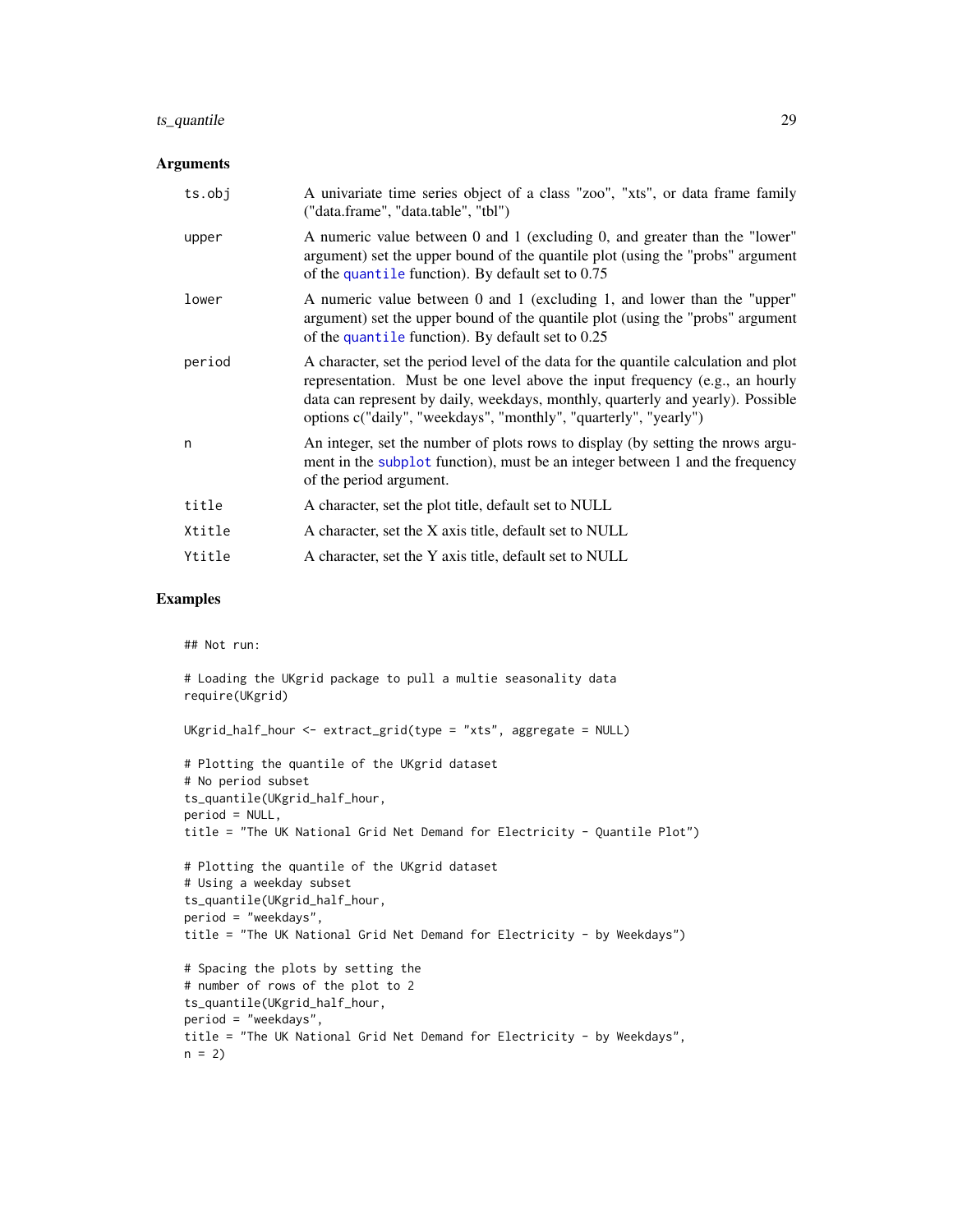# <span id="page-28-0"></span>ts\_quantile 29

#### Arguments

| ts.obj | A univariate time series object of a class "zoo", "xts", or data frame family<br>("data.frame", "data.table", "tbl")                                                                                                                                                                                                       |
|--------|----------------------------------------------------------------------------------------------------------------------------------------------------------------------------------------------------------------------------------------------------------------------------------------------------------------------------|
| upper  | A numeric value between 0 and 1 (excluding 0, and greater than the "lower"<br>argument) set the upper bound of the quantile plot (using the "probs" argument<br>of the quantile function). By default set to 0.75                                                                                                          |
| lower  | A numeric value between 0 and 1 (excluding 1, and lower than the "upper"<br>argument) set the upper bound of the quantile plot (using the "probs" argument<br>of the quantile function). By default set to 0.25                                                                                                            |
| period | A character, set the period level of the data for the quantile calculation and plot<br>representation. Must be one level above the input frequency (e.g., an hourly<br>data can represent by daily, weekdays, monthly, quarterly and yearly). Possible<br>options c("daily", "weekdays", "monthly", "quarterly", "yearly") |
| n      | An integer, set the number of plots rows to display (by setting the nrows argu-<br>ment in the subplot function), must be an integer between 1 and the frequency<br>of the period argument.                                                                                                                                |
| title  | A character, set the plot title, default set to NULL                                                                                                                                                                                                                                                                       |
| Xtitle | A character, set the X axis title, default set to NULL                                                                                                                                                                                                                                                                     |
| Ytitle | A character, set the Y axis title, default set to NULL                                                                                                                                                                                                                                                                     |
|        |                                                                                                                                                                                                                                                                                                                            |

# Examples

## Not run:

```
# Loading the UKgrid package to pull a multie seasonality data
require(UKgrid)
UKgrid_half_hour <- extract_grid(type = "xts", aggregate = NULL)
# Plotting the quantile of the UKgrid dataset
# No period subset
ts_quantile(UKgrid_half_hour,
period = NULL,
title = "The UK National Grid Net Demand for Electricity - Quantile Plot")
# Plotting the quantile of the UKgrid dataset
# Using a weekday subset
ts_quantile(UKgrid_half_hour,
period = "weekdays",
title = "The UK National Grid Net Demand for Electricity - by Weekdays")
# Spacing the plots by setting the
# number of rows of the plot to 2
ts_quantile(UKgrid_half_hour,
period = "weekdays",
title = "The UK National Grid Net Demand for Electricity - by Weekdays",
n = 2
```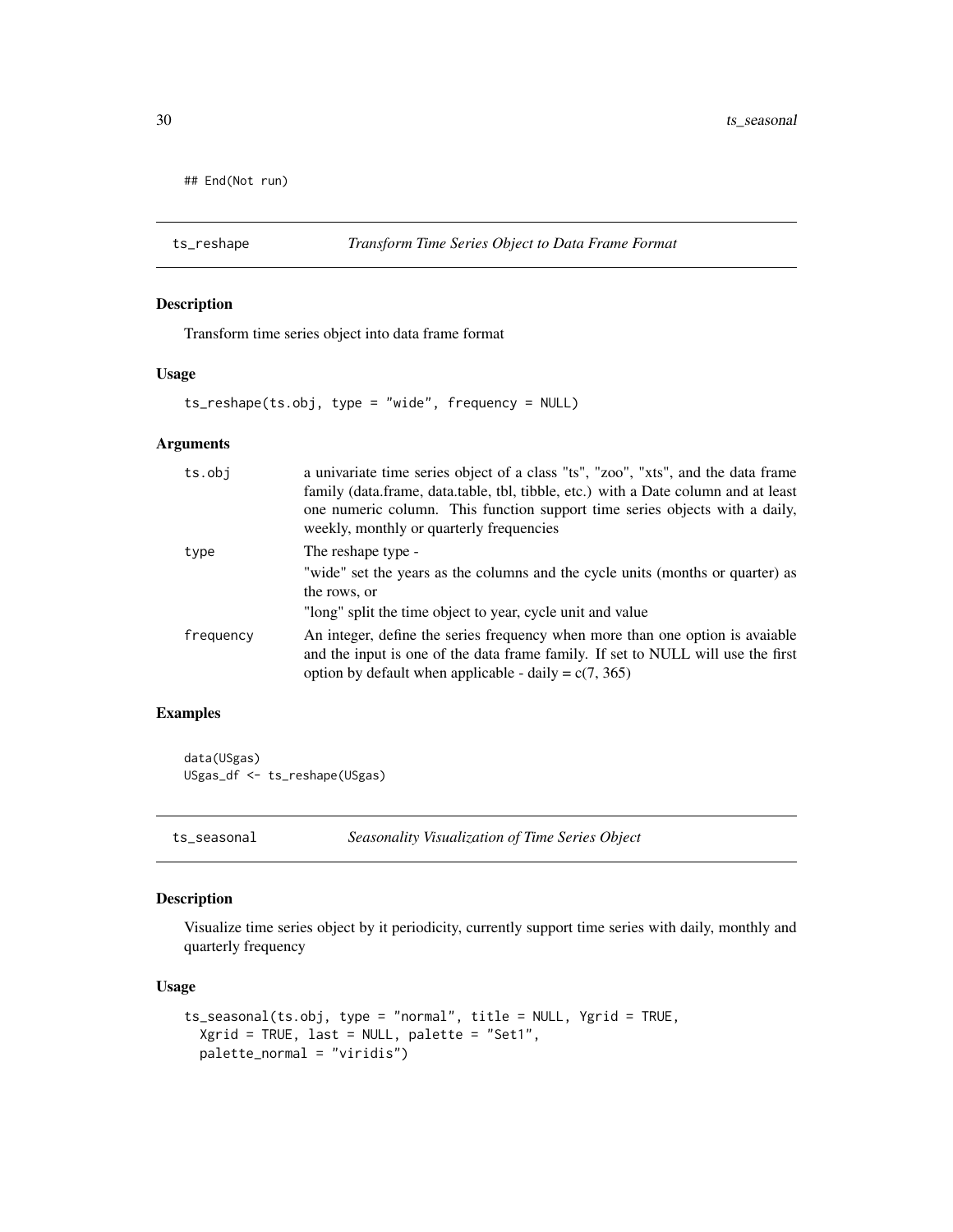```
## End(Not run)
```
ts\_reshape *Transform Time Series Object to Data Frame Format*

# Description

Transform time series object into data frame format

#### Usage

ts\_reshape(ts.obj, type = "wide", frequency = NULL)

# Arguments

| ts.obj    | a univariate time series object of a class "ts", "zoo", "xts", and the data frame<br>family (data.frame, data.table, tbl, tibble, etc.) with a Date column and at least<br>one numeric column. This function support time series objects with a daily,<br>weekly, monthly or quarterly frequencies |
|-----------|----------------------------------------------------------------------------------------------------------------------------------------------------------------------------------------------------------------------------------------------------------------------------------------------------|
| type      | The reshape type -<br>"wide" set the years as the columns and the cycle units (months or quarter) as<br>the rows, or                                                                                                                                                                               |
|           | "long" split the time object to year, cycle unit and value                                                                                                                                                                                                                                         |
| frequency | An integer, define the series frequency when more than one option is avaiable<br>and the input is one of the data frame family. If set to NULL will use the first<br>option by default when applicable - daily = $c(7, 365)$                                                                       |

# Examples

data(USgas) USgas\_df <- ts\_reshape(USgas)

ts\_seasonal *Seasonality Visualization of Time Series Object*

#### Description

Visualize time series object by it periodicity, currently support time series with daily, monthly and quarterly frequency

#### Usage

```
ts_seasonal(ts.obj, type = "normal", title = NULL, Ygrid = TRUE,
 Xgrid = TRUE, last = NULL, palette = "Set1",
 palette_normal = "viridis")
```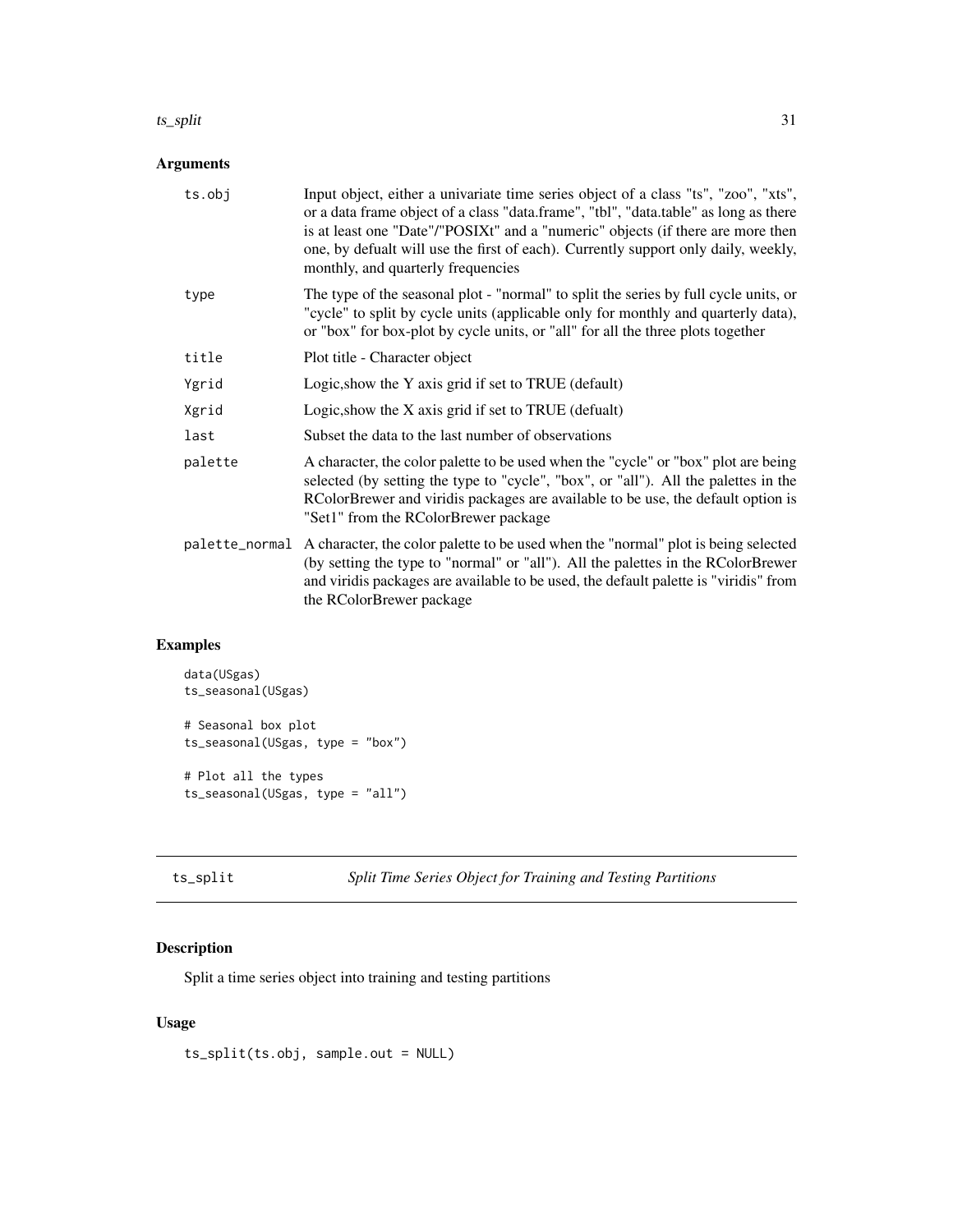#### <span id="page-30-0"></span> $ts\_split$  31

# Arguments

| ts.obj  | Input object, either a univariate time series object of a class "ts", "zoo", "xts",<br>or a data frame object of a class "data.frame", "tbl", "data.table" as long as there<br>is at least one "Date"/"POSIXt" and a "numeric" objects (if there are more then<br>one, by defualt will use the first of each). Currently support only daily, weekly,<br>monthly, and quarterly frequencies |
|---------|--------------------------------------------------------------------------------------------------------------------------------------------------------------------------------------------------------------------------------------------------------------------------------------------------------------------------------------------------------------------------------------------|
| type    | The type of the seasonal plot - "normal" to split the series by full cycle units, or<br>"cycle" to split by cycle units (applicable only for monthly and quarterly data),<br>or "box" for box-plot by cycle units, or "all" for all the three plots together                                                                                                                               |
| title   | Plot title - Character object                                                                                                                                                                                                                                                                                                                                                              |
| Ygrid   | Logic, show the Y axis grid if set to TRUE (default)                                                                                                                                                                                                                                                                                                                                       |
| Xgrid   | Logic, show the X axis grid if set to TRUE (defualt)                                                                                                                                                                                                                                                                                                                                       |
| last    | Subset the data to the last number of observations                                                                                                                                                                                                                                                                                                                                         |
| palette | A character, the color palette to be used when the "cycle" or "box" plot are being<br>selected (by setting the type to "cycle", "box", or "all"). All the palettes in the<br>RColorBrewer and viridis packages are available to be use, the default option is<br>"Set1" from the RColorBrewer package                                                                                      |
|         | palette_normal A character, the color palette to be used when the "normal" plot is being selected<br>(by setting the type to "normal" or "all"). All the palettes in the RColorBrewer<br>and viridis packages are available to be used, the default palette is "viridis" from<br>the RColorBrewer package                                                                                  |

# Examples

```
data(USgas)
ts_seasonal(USgas)
# Seasonal box plot
ts_seasonal(USgas, type = "box")
# Plot all the types
ts_seasonal(USgas, type = "all")
```
ts\_split *Split Time Series Object for Training and Testing Partitions*

# Description

Split a time series object into training and testing partitions

# Usage

ts\_split(ts.obj, sample.out = NULL)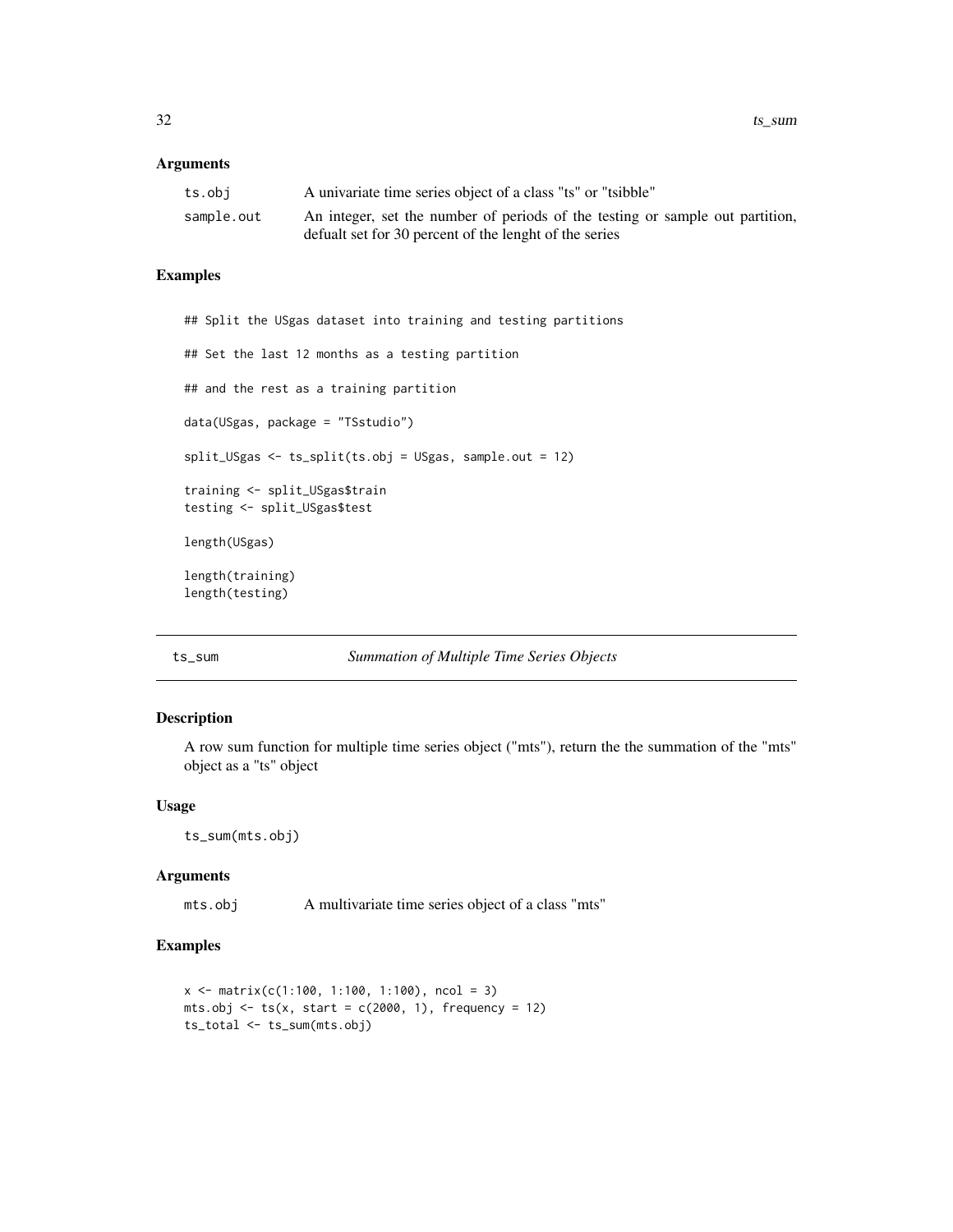#### <span id="page-31-0"></span>Arguments

| ts.obi     | A univariate time series object of a class "ts" or "tsibble"                  |
|------------|-------------------------------------------------------------------------------|
| sample.out | An integer, set the number of periods of the testing or sample out partition, |
|            | defualt set for 30 percent of the lenght of the series                        |

#### Examples

```
## Split the USgas dataset into training and testing partitions
## Set the last 12 months as a testing partition
## and the rest as a training partition
data(USgas, package = "TSstudio")
split_USgas <- ts_split(ts.obj = USgas, sample.out = 12)
training <- split_USgas$train
testing <- split_USgas$test
length(USgas)
length(training)
length(testing)
```
#### ts\_sum *Summation of Multiple Time Series Objects*

#### Description

A row sum function for multiple time series object ("mts"), return the the summation of the "mts" object as a "ts" object

### Usage

ts\_sum(mts.obj)

#### Arguments

mts.obj A multivariate time series object of a class "mts"

```
x \le matrix(c(1:100, 1:100, 1:100), ncol = 3)
mts.obj \le ts(x, start = c(2000, 1), frequency = 12)
ts_total <- ts_sum(mts.obj)
```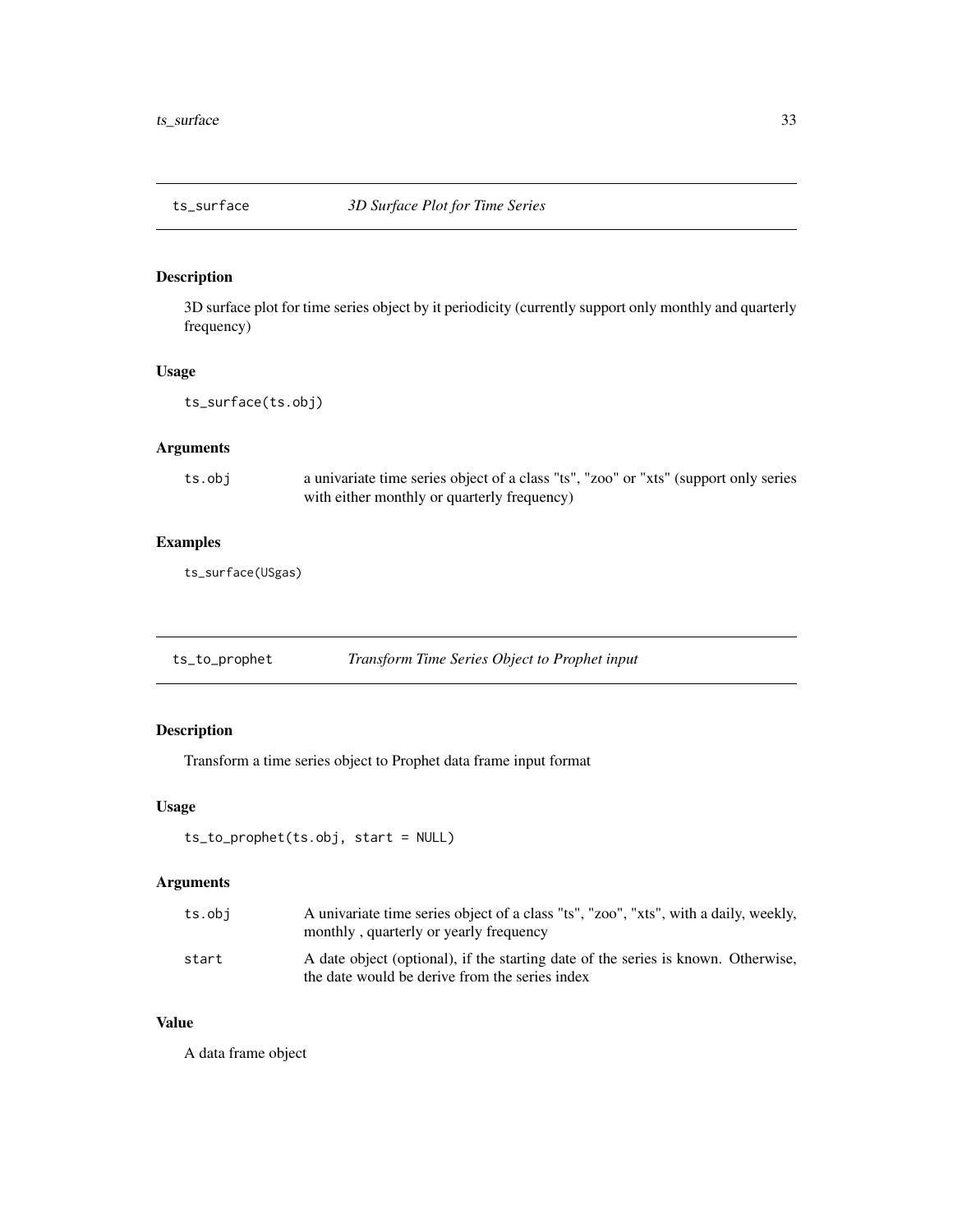<span id="page-32-0"></span>

3D surface plot for time series object by it periodicity (currently support only monthly and quarterly frequency)

#### Usage

ts\_surface(ts.obj)

# Arguments

ts.obj a univariate time series object of a class "ts", "zoo" or "xts" (support only series with either monthly or quarterly frequency)

# Examples

ts\_surface(USgas)

| ts_to_prophet | Transform Time Series Object to Prophet input |
|---------------|-----------------------------------------------|
|               |                                               |

# Description

Transform a time series object to Prophet data frame input format

#### Usage

```
ts_to_prophet(ts.obj, start = NULL)
```
#### Arguments

| ts.obj | A univariate time series object of a class "ts", "zoo", "xts", with a daily, weekly,<br>monthly, quarterly or yearly frequency      |
|--------|-------------------------------------------------------------------------------------------------------------------------------------|
| start  | A date object (optional), if the starting date of the series is known. Otherwise,<br>the date would be derive from the series index |

#### Value

A data frame object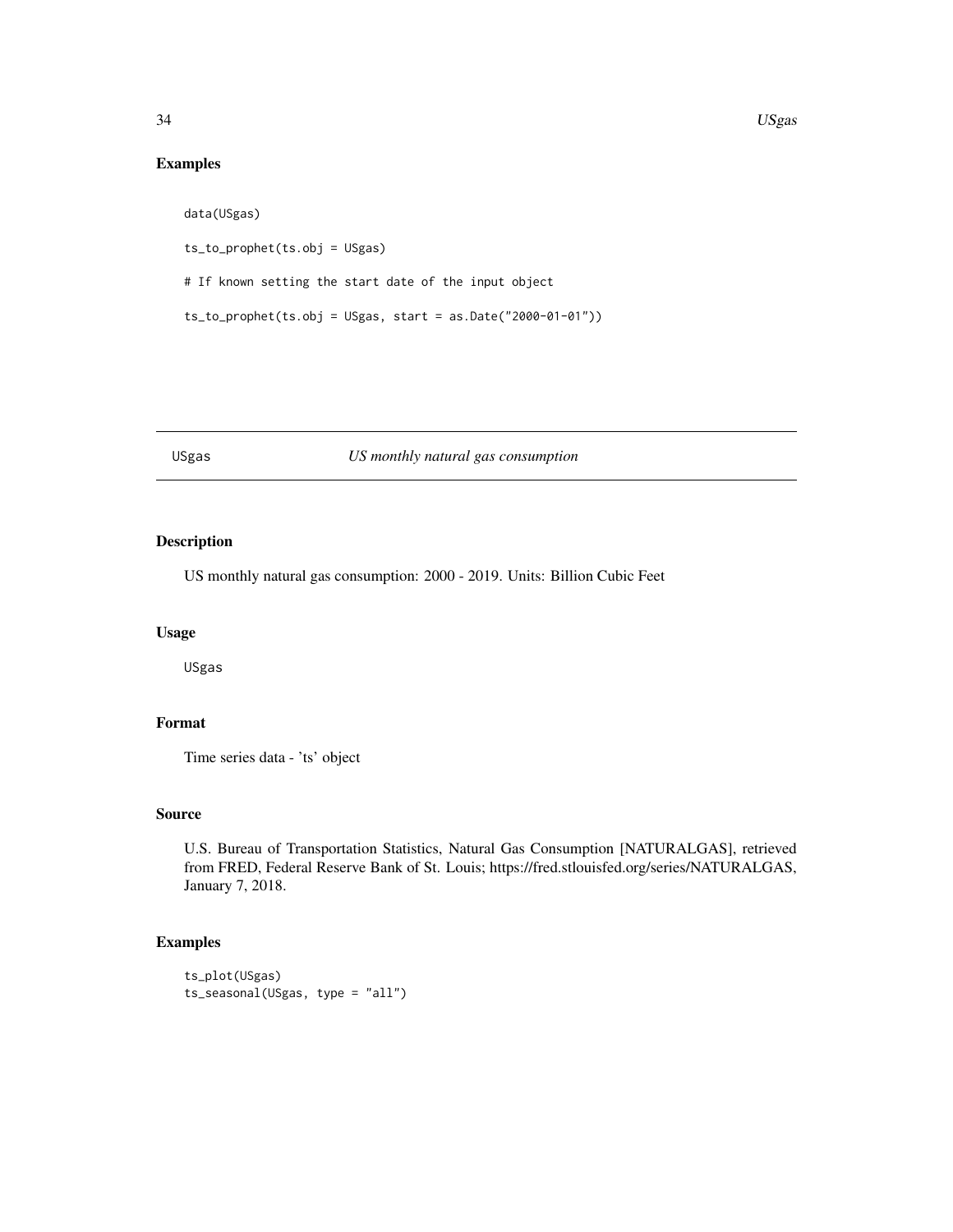# Examples

```
data(USgas)
ts_to_prophet(ts.obj = USgas)
# If known setting the start date of the input object
ts_to_prophet(ts.obj = USgas, start = as.Date("2000-01-01"))
```
#### USgas *US monthly natural gas consumption*

# Description

US monthly natural gas consumption: 2000 - 2019. Units: Billion Cubic Feet

# Usage

USgas

# Format

Time series data - 'ts' object

#### Source

U.S. Bureau of Transportation Statistics, Natural Gas Consumption [NATURALGAS], retrieved from FRED, Federal Reserve Bank of St. Louis; https://fred.stlouisfed.org/series/NATURALGAS, January 7, 2018.

```
ts_plot(USgas)
ts_seasonal(USgas, type = "all")
```
<span id="page-33-0"></span>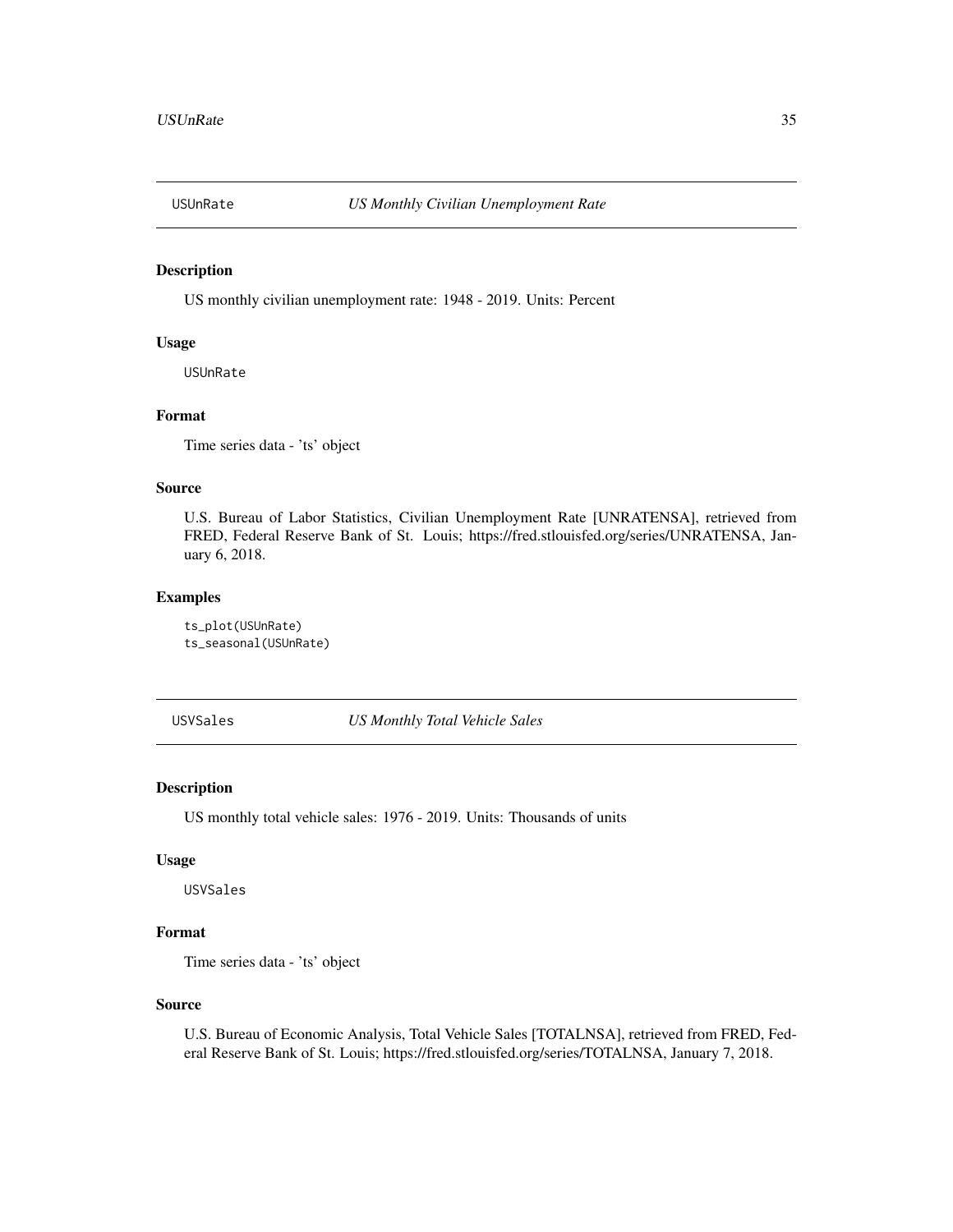<span id="page-34-0"></span>

US monthly civilian unemployment rate: 1948 - 2019. Units: Percent

# Usage

USUnRate

#### Format

Time series data - 'ts' object

#### Source

U.S. Bureau of Labor Statistics, Civilian Unemployment Rate [UNRATENSA], retrieved from FRED, Federal Reserve Bank of St. Louis; https://fred.stlouisfed.org/series/UNRATENSA, January 6, 2018.

#### Examples

ts\_plot(USUnRate) ts\_seasonal(USUnRate)

USVSales *US Monthly Total Vehicle Sales*

# Description

US monthly total vehicle sales: 1976 - 2019. Units: Thousands of units

#### Usage

USVSales

# Format

Time series data - 'ts' object

#### Source

U.S. Bureau of Economic Analysis, Total Vehicle Sales [TOTALNSA], retrieved from FRED, Federal Reserve Bank of St. Louis; https://fred.stlouisfed.org/series/TOTALNSA, January 7, 2018.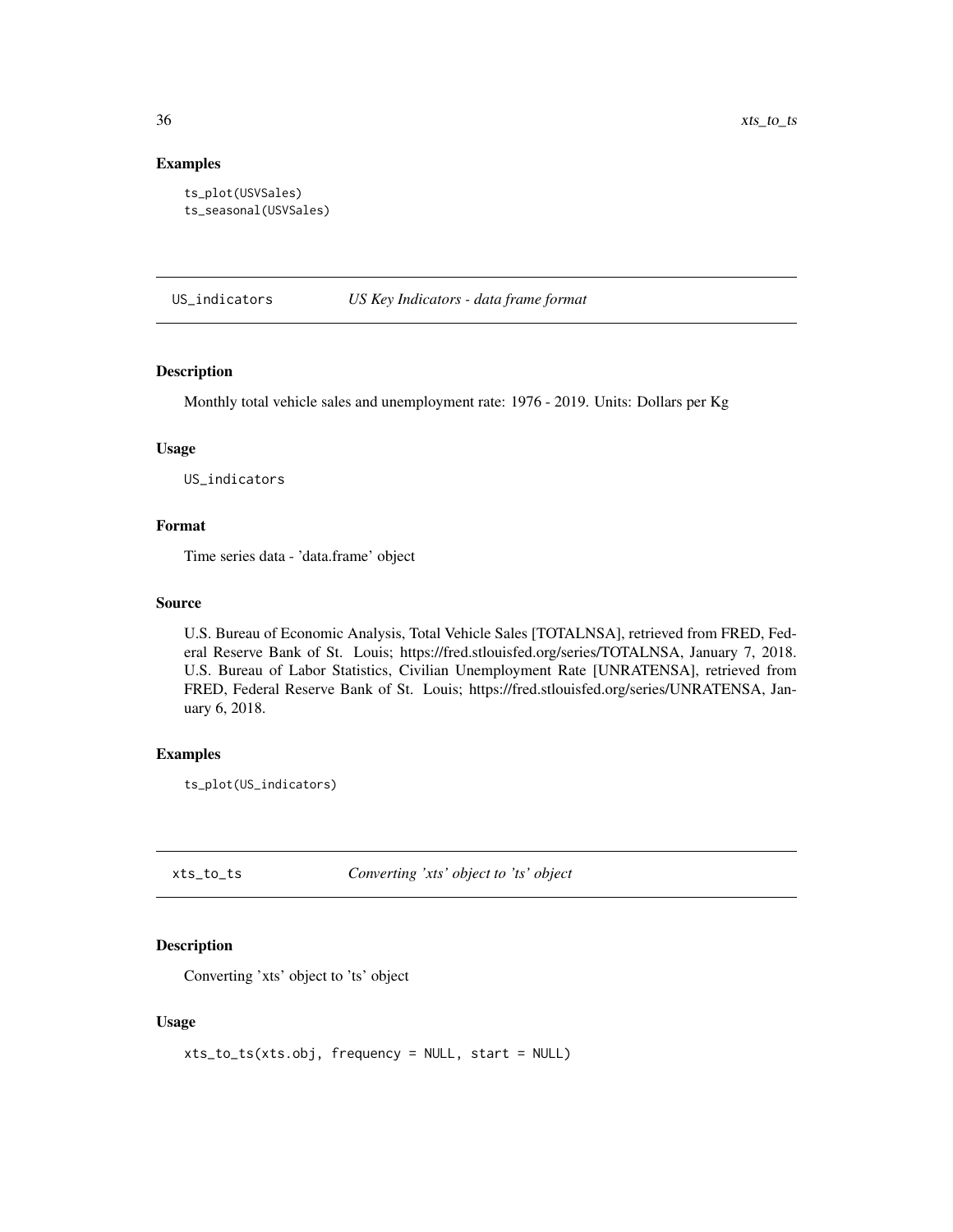#### Examples

```
ts_plot(USVSales)
ts_seasonal(USVSales)
```
US\_indicators *US Key Indicators - data frame format*

#### Description

Monthly total vehicle sales and unemployment rate: 1976 - 2019. Units: Dollars per Kg

#### Usage

US\_indicators

#### Format

Time series data - 'data.frame' object

#### Source

U.S. Bureau of Economic Analysis, Total Vehicle Sales [TOTALNSA], retrieved from FRED, Federal Reserve Bank of St. Louis; https://fred.stlouisfed.org/series/TOTALNSA, January 7, 2018. U.S. Bureau of Labor Statistics, Civilian Unemployment Rate [UNRATENSA], retrieved from FRED, Federal Reserve Bank of St. Louis; https://fred.stlouisfed.org/series/UNRATENSA, January 6, 2018.

#### Examples

ts\_plot(US\_indicators)

xts\_to\_ts *Converting 'xts' object to 'ts' object*

# Description

Converting 'xts' object to 'ts' object

#### Usage

```
xts_to_ts(xts.obj, frequency = NULL, start = NULL)
```
<span id="page-35-0"></span>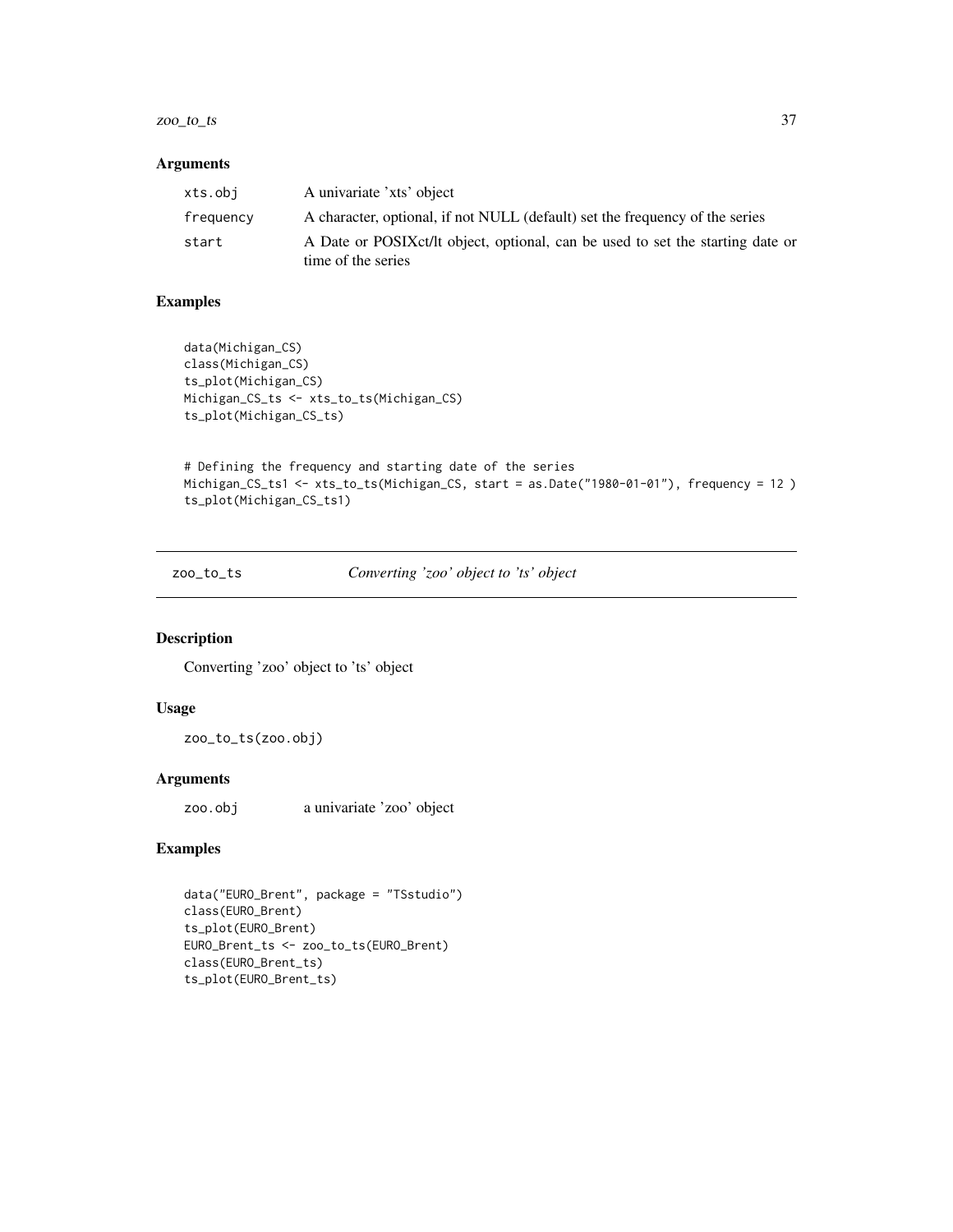#### <span id="page-36-0"></span> $zoo\_to\_ts$  37

#### Arguments

| xts.obi   | A univariate 'xts' object                                                                             |
|-----------|-------------------------------------------------------------------------------------------------------|
| frequency | A character, optional, if not NULL (default) set the frequency of the series                          |
| start     | A Date or POSIX ct/lt object, optional, can be used to set the starting date or<br>time of the series |

# Examples

```
data(Michigan_CS)
class(Michigan_CS)
ts_plot(Michigan_CS)
Michigan_CS_ts <- xts_to_ts(Michigan_CS)
ts_plot(Michigan_CS_ts)
```

```
# Defining the frequency and starting date of the series
Michigan_CS_ts1 <- xts_to_ts(Michigan_CS, start = as.Date("1980-01-01"), frequency = 12 )
ts_plot(Michigan_CS_ts1)
```
zoo\_to\_ts *Converting 'zoo' object to 'ts' object*

# Description

Converting 'zoo' object to 'ts' object

#### Usage

zoo\_to\_ts(zoo.obj)

#### Arguments

zoo.obj a univariate 'zoo' object

```
data("EURO_Brent", package = "TSstudio")
class(EURO_Brent)
ts_plot(EURO_Brent)
EURO_Brent_ts <- zoo_to_ts(EURO_Brent)
class(EURO_Brent_ts)
ts_plot(EURO_Brent_ts)
```